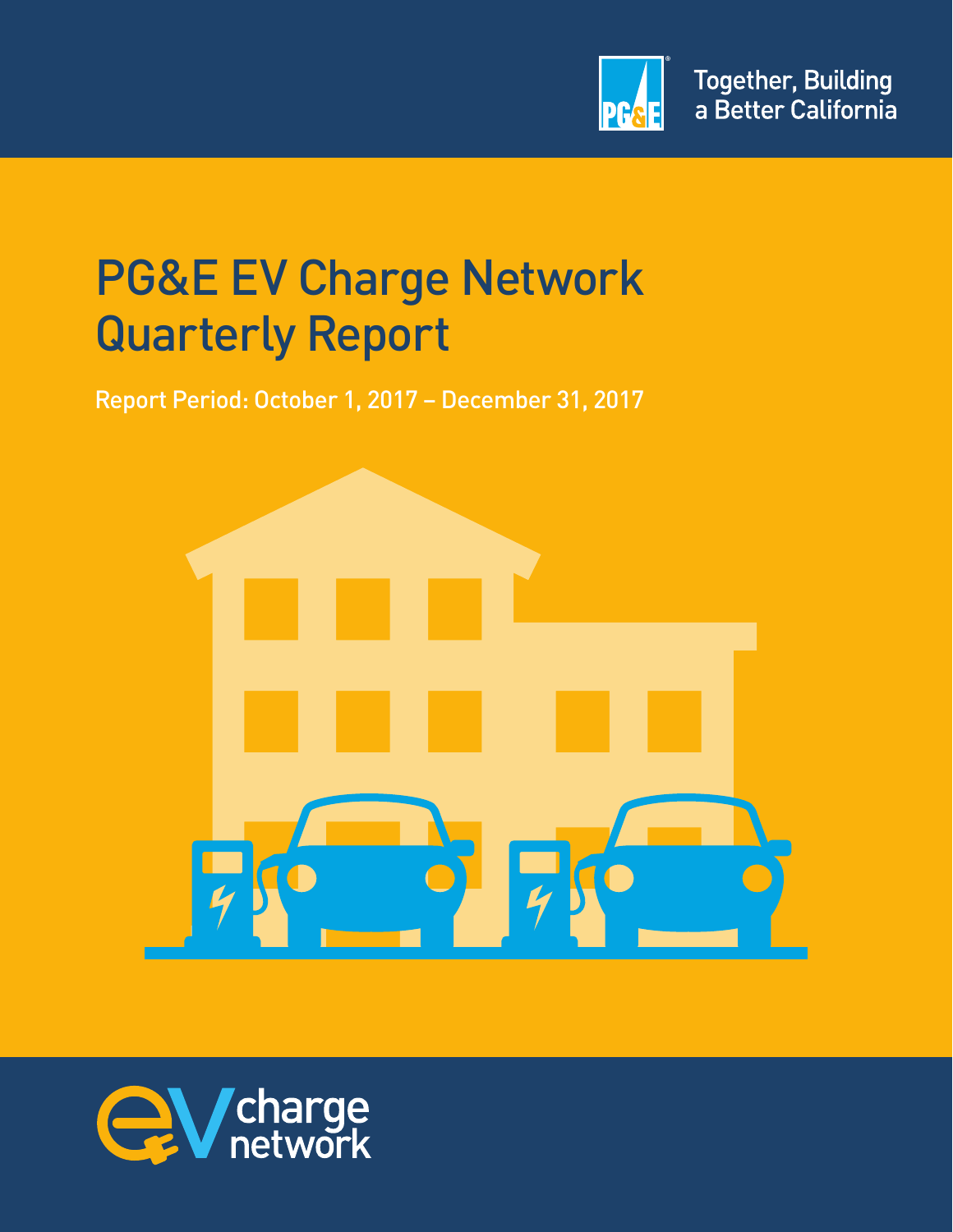

# PG&E EV Charge Network Quarterly Report

Report Period: October 1, 2017 – December 31, 2017



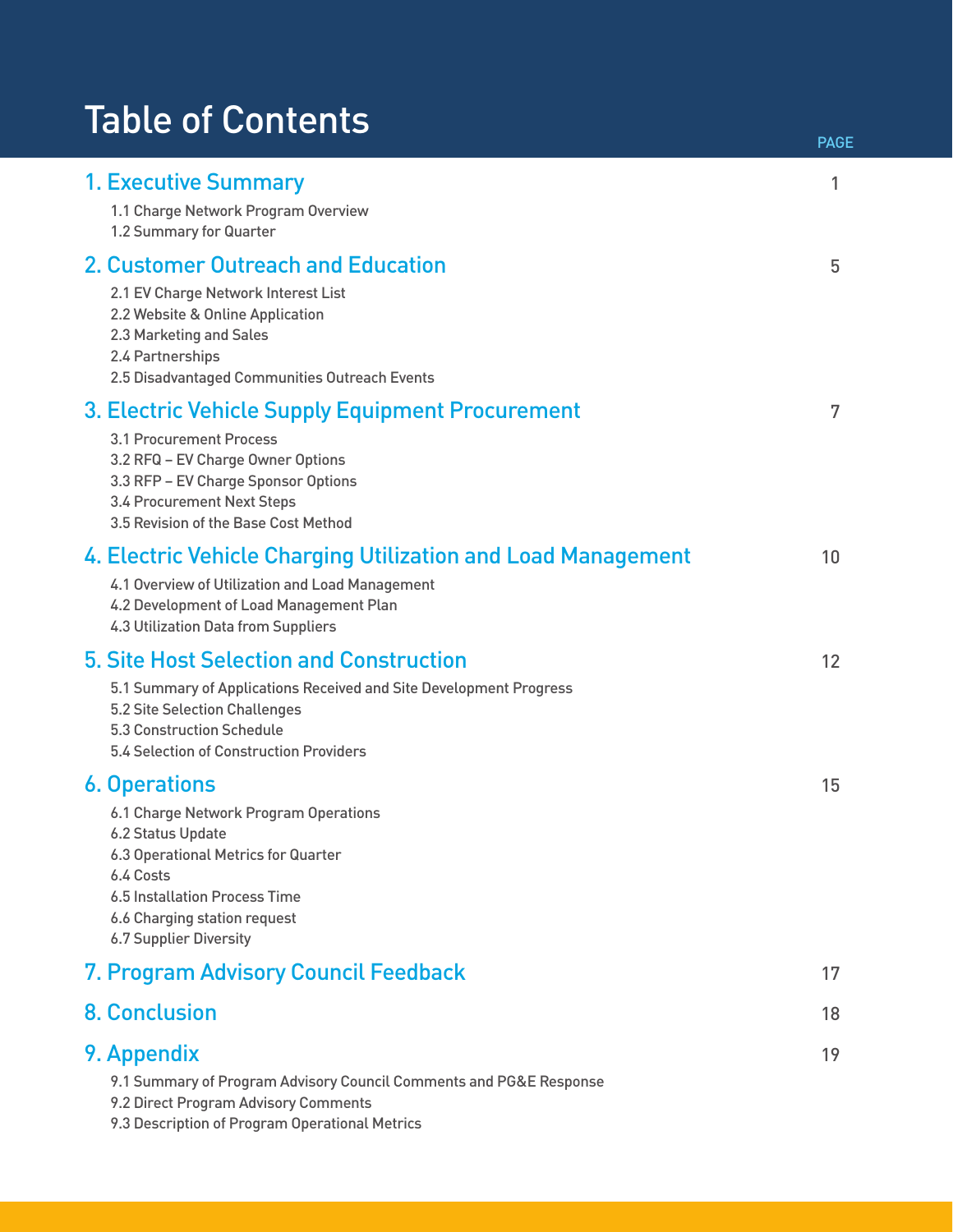# Table of Contents

|                                                                                                                                                          |                                                                                                                                                                                                   | <b>PAGE</b> |
|----------------------------------------------------------------------------------------------------------------------------------------------------------|---------------------------------------------------------------------------------------------------------------------------------------------------------------------------------------------------|-------------|
| <b>1. Executive Summary</b><br>1.2 Summary for Quarter                                                                                                   | 1.1 Charge Network Program Overview                                                                                                                                                               | 1           |
| 2.2 Website & Online Application<br>2.3 Marketing and Sales<br>2.4 Partnerships                                                                          | <b>2. Customer Outreach and Education</b><br>2.1 EV Charge Network Interest List<br>2.5 Disadvantaged Communities Outreach Events                                                                 | 5           |
| 3.1 Procurement Process<br>3.4 Procurement Next Steps                                                                                                    | 3. Electric Vehicle Supply Equipment Procurement<br>3.2 RFQ - EV Charge Owner Options<br>3.3 RFP - EV Charge Sponsor Options<br>3.5 Revision of the Base Cost Method                              | 7           |
|                                                                                                                                                          | 4. Electric Vehicle Charging Utilization and Load Management<br>4.1 Overview of Utilization and Load Management<br>4.2 Development of Load Management Plan<br>4.3 Utilization Data from Suppliers | 10          |
| <b>5.2 Site Selection Challenges</b><br>5.3 Construction Schedule                                                                                        | <b>5. Site Host Selection and Construction</b><br>5.1 Summary of Applications Received and Site Development Progress<br>5.4 Selection of Construction Providers                                   | 12          |
| <b>6. Operations</b><br>6.2 Status Update<br>6.4 Costs<br>6.5 Installation Process Time<br>6.6 Charging station request<br><b>6.7 Supplier Diversity</b> | 6.1 Charge Network Program Operations<br>6.3 Operational Metrics for Quarter                                                                                                                      | 15          |
|                                                                                                                                                          | 7. Program Advisory Council Feedback                                                                                                                                                              | 17          |
| <b>8. Conclusion</b>                                                                                                                                     |                                                                                                                                                                                                   | 18          |
| 9. Appendix                                                                                                                                              | 9.1 Summary of Program Advisory Council Comments and PG&E Response<br>9.2 Direct Program Advisory Comments<br>9.3 Description of Program Operational Metrics                                      | 19          |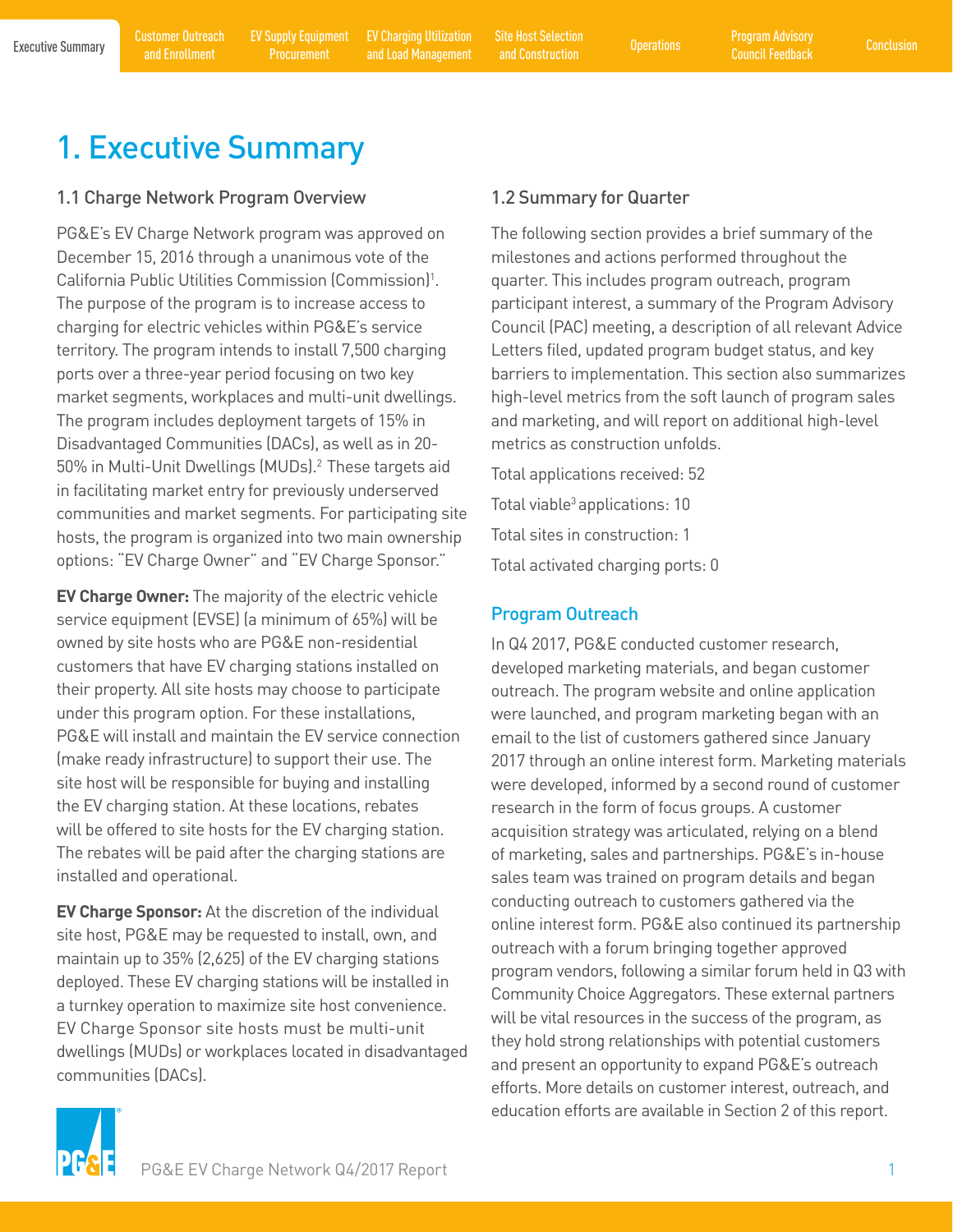<span id="page-2-0"></span>

# 1. Executive Summary

#### 1.1 Charge Network Program Overview

PG&E's EV Charge Network program was approved on December 15, 2016 through a unanimous vote of the California Public Utilities Commission (Commission)<sup>1</sup>. The purpose of the program is to increase access to charging for electric vehicles within PG&E's service territory. The program intends to install 7,500 charging ports over a three-year period focusing on two key market segments, workplaces and multi-unit dwellings. The program includes deployment targets of 15% in Disadvantaged Communities (DACs), as well as in 20- 50% in Multi-Unit Dwellings (MUDs).<sup>2</sup> These targets aid in facilitating market entry for previously underserved communities and market segments. For participating site hosts, the program is organized into two main ownership options: "EV Charge Owner" and "EV Charge Sponsor."

**EV Charge Owner:** The majority of the electric vehicle service equipment (EVSE) (a minimum of 65%) will be owned by site hosts who are PG&E non-residential customers that have EV charging stations installed on their property. All site hosts may choose to participate under this program option. For these installations, PG&E will install and maintain the EV service connection (make ready infrastructure) to support their use. The site host will be responsible for buying and installing the EV charging station. At these locations, rebates will be offered to site hosts for the EV charging station. The rebates will be paid after the charging stations are installed and operational.

**EV Charge Sponsor:** At the discretion of the individual site host, PG&E may be requested to install, own, and maintain up to 35% (2,625) of the EV charging stations deployed. These EV charging stations will be installed in a turnkey operation to maximize site host convenience. EV Charge Sponsor site hosts must be multi-unit dwellings (MUDs) or workplaces located in disadvantaged communities (DACs).

#### 1.2 Summary for Quarter

The following section provides a brief summary of the milestones and actions performed throughout the quarter. This includes program outreach, program participant interest, a summary of the Program Advisory Council (PAC) meeting, a description of all relevant Advice Letters filed, updated program budget status, and key barriers to implementation. This section also summarizes high-level metrics from the soft launch of program sales and marketing, and will report on additional high-level metrics as construction unfolds.

Total applications received: 52 Total viable<sup>3</sup> applications: 10 Total sites in construction: 1 Total activated charging ports: 0

#### Program Outreach

In Q4 2017, PG&E conducted customer research, developed marketing materials, and began customer outreach. The program website and online application were launched, and program marketing began with an email to the list of customers gathered since January 2017 through an online interest form. Marketing materials were developed, informed by a second round of customer research in the form of focus groups. A customer acquisition strategy was articulated, relying on a blend of marketing, sales and partnerships. PG&E's in-house sales team was trained on program details and began conducting outreach to customers gathered via the online interest form. PG&E also continued its partnership outreach with a forum bringing together approved program vendors, following a similar forum held in Q3 with Community Choice Aggregators. These external partners will be vital resources in the success of the program, as they hold strong relationships with potential customers and present an opportunity to expand PG&E's outreach efforts. More details on customer interest, outreach, and education efforts are available in Section 2 of this report.

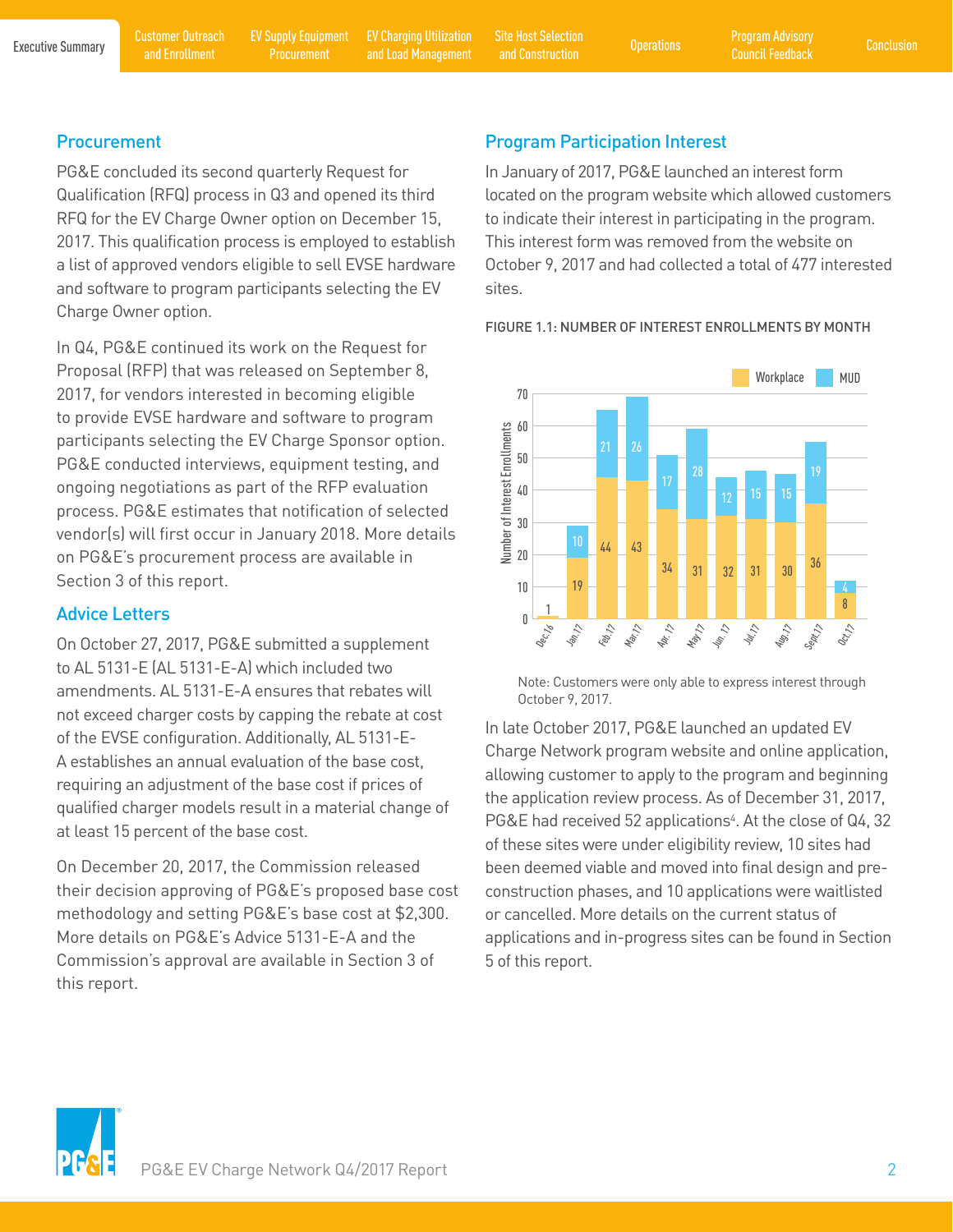and Enrollment

[EV Supply Equipment](#page-8-0)  Procurement

Executive Summary Customer Outreach EV Supply Equipment EV Charging Utilization Site Host Selection (Derations Program Advisory [Conclusion](#page-19-0) Conclusion<br>Executive Summary and Encellment Programment and Lead Management and Con [EV Charging Utilization](#page-11-0)  EV Charging Utilization Site Host Selection<br>
and Load Management and Construction Construction

and Construction

#### **Procurement**

PG&E concluded its second quarterly Request for Qualification (RFQ) process in Q3 and opened its third RFQ for the EV Charge Owner option on December 15, 2017. This qualification process is employed to establish a list of approved vendors eligible to sell EVSE hardware and software to program participants selecting the EV Charge Owner option.

In Q4, PG&E continued its work on the Request for Proposal (RFP) that was released on September 8, 2017, for vendors interested in becoming eligible to provide EVSE hardware and software to program participants selecting the EV Charge Sponsor option. PG&E conducted interviews, equipment testing, and ongoing negotiations as part of the RFP evaluation process. PG&E estimates that notification of selected vendor(s) will first occur in January 2018. More details on PG&E's procurement process are available in Section 3 of this report.

#### Advice Letters

On October 27, 2017, PG&E submitted a supplement to AL 5131-E (AL 5131-E-A) which included two amendments. AL 5131-E-A ensures that rebates will not exceed charger costs by capping the rebate at cost of the EVSE configuration. Additionally, AL 5131-E-A establishes an annual evaluation of the base cost, requiring an adjustment of the base cost if prices of qualified charger models result in a material change of at least 15 percent of the base cost.

On December 20, 2017, the Commission released their decision approving of PG&E's proposed base cost methodology and setting PG&E's base cost at \$2,300. More details on PG&E's Advice 5131-E-A and the Commission's approval are available in Section 3 of this report.

#### Program Participation Interest

In January of 2017, PG&E launched an interest form located on the program website which allowed customers to indicate their interest in participating in the program. This interest form was removed from the website on October 9, 2017 and had collected a total of 477 interested sites.



FIGURE 1.1: NUMBER OF INTEREST ENROLLMENTS BY MONTH

Note: Customers were only able to express interest through October 9, 2017.

In late October 2017, PG&E launched an updated EV Charge Network program website and online application, allowing customer to apply to the program and beginning the application review process. As of December 31, 2017, PG&E had received 52 applications<sup>4</sup>. At the close of Q4, 32 of these sites were under eligibility review, 10 sites had been deemed viable and moved into final design and preconstruction phases, and 10 applications were waitlisted or cancelled. More details on the current status of applications and in-progress sites can be found in Section end the state of this report.<br>
See the state of the state of these sites we<br>
been deemed vi<br>
construction phases are application report.<br>
The application report.<br>
See these sites we<br>
been deemed vi<br>
construction phases are

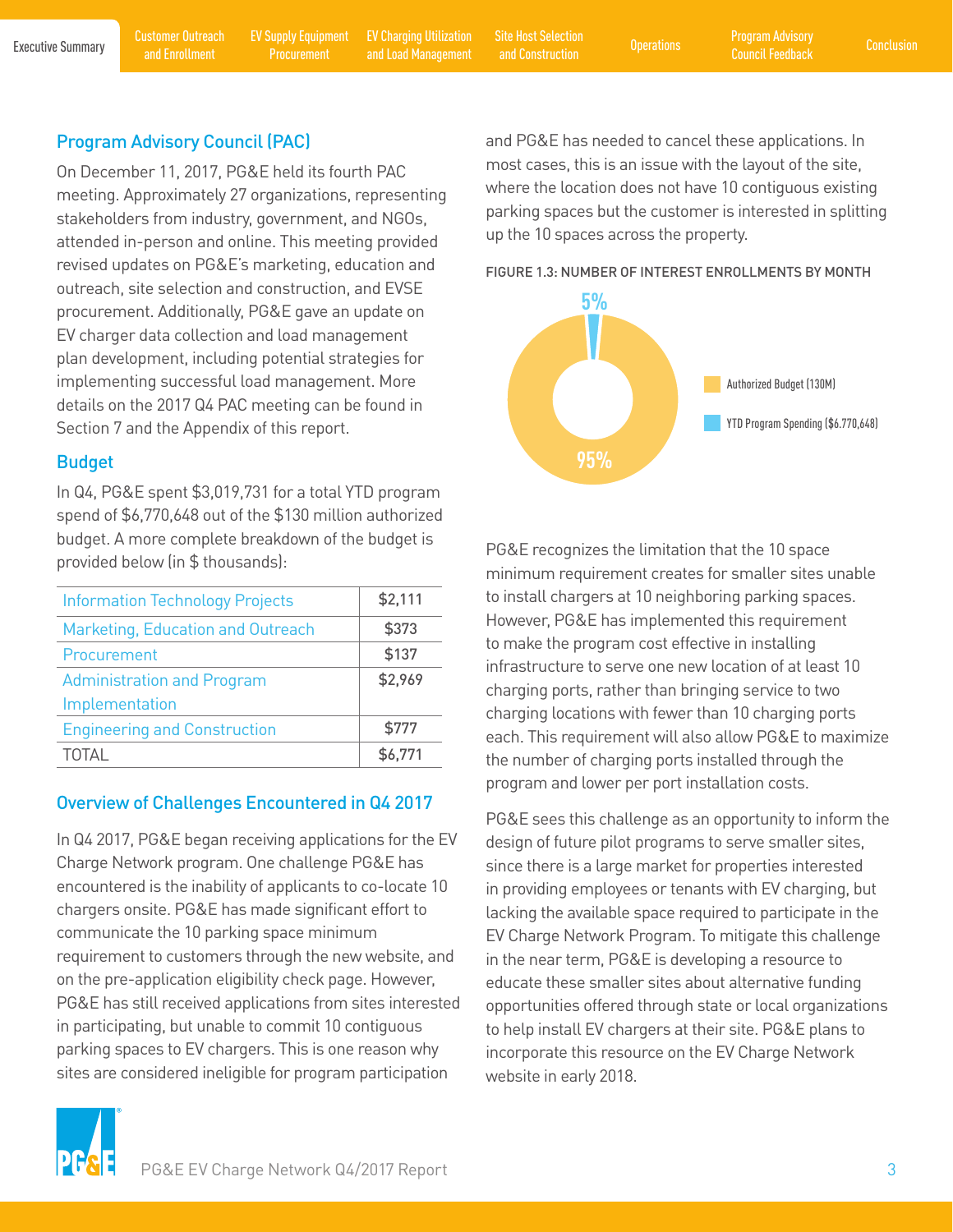and Construction

#### Program Advisory Council (PAC)

On December 11, 2017, PG&E held its fourth PAC meeting. Approximately 27 organizations, representing stakeholders from industry, government, and NGOs, attended in-person and online. This meeting provided revised updates on PG&E's marketing, education and outreach, site selection and construction, and EVSE procurement. Additionally, PG&E gave an update on EV charger data collection and load management plan development, including potential strategies for implementing successful load management. More details on the 2017 Q4 PAC meeting can be found in Section 7 and the Appendix of this report.

#### Budget

In Q4, PG&E spent \$3,019,731 for a total YTD program spend of \$6,770,648 out of the \$130 million authorized budget. A more complete breakdown of the budget is provided below (in \$ thousands):

| <b>Information Technology Projects</b> | \$2,111 |
|----------------------------------------|---------|
| Marketing, Education and Outreach      | \$373   |
| Procurement                            | \$137   |
| <b>Administration and Program</b>      | \$2,969 |
| Implementation                         |         |
| <b>Engineering and Construction</b>    | \$777   |
| TOTAL                                  | \$6,771 |

#### Overview of Challenges Encountered in Q4 2017

In Q4 2017, PG&E began receiving applications for the EV Charge Network program. One challenge PG&E has encountered is the inability of applicants to co-locate 10 chargers onsite. PG&E has made significant effort to communicate the 10 parking space minimum requirement to customers through the new website, and on the pre-application eligibility check page. However, PG&E has still received applications from sites interested in participating, but unable to commit 10 contiguous parking spaces to EV chargers. This is one reason why sites are considered ineligible for program participation







PG&E recognizes the limitation that the 10 space minimum requirement creates for smaller sites unable to install chargers at 10 neighboring parking spaces. However, PG&E has implemented this requirement to make the program cost effective in installing infrastructure to serve one new location of at least 10 charging ports, rather than bringing service to two charging locations with fewer than 10 charging ports each. This requirement will also allow PG&E to maximize the number of charging ports installed through the program and lower per port installation costs.

PG&E sees this challenge as an opportunity to inform the design of future pilot programs to serve smaller sites, since there is a large market for properties interested in providing employees or tenants with EV charging, but lacking the available space required to participate in the EV Charge Network Program. To mitigate this challenge in the near term, PG&E is developing a resource to educate these smaller sites about alternative funding opportunities offered through state or local organizations to help install EV chargers at their site. PG&E plans to incorporate this resource on the EV Charge Network website in early 2018.

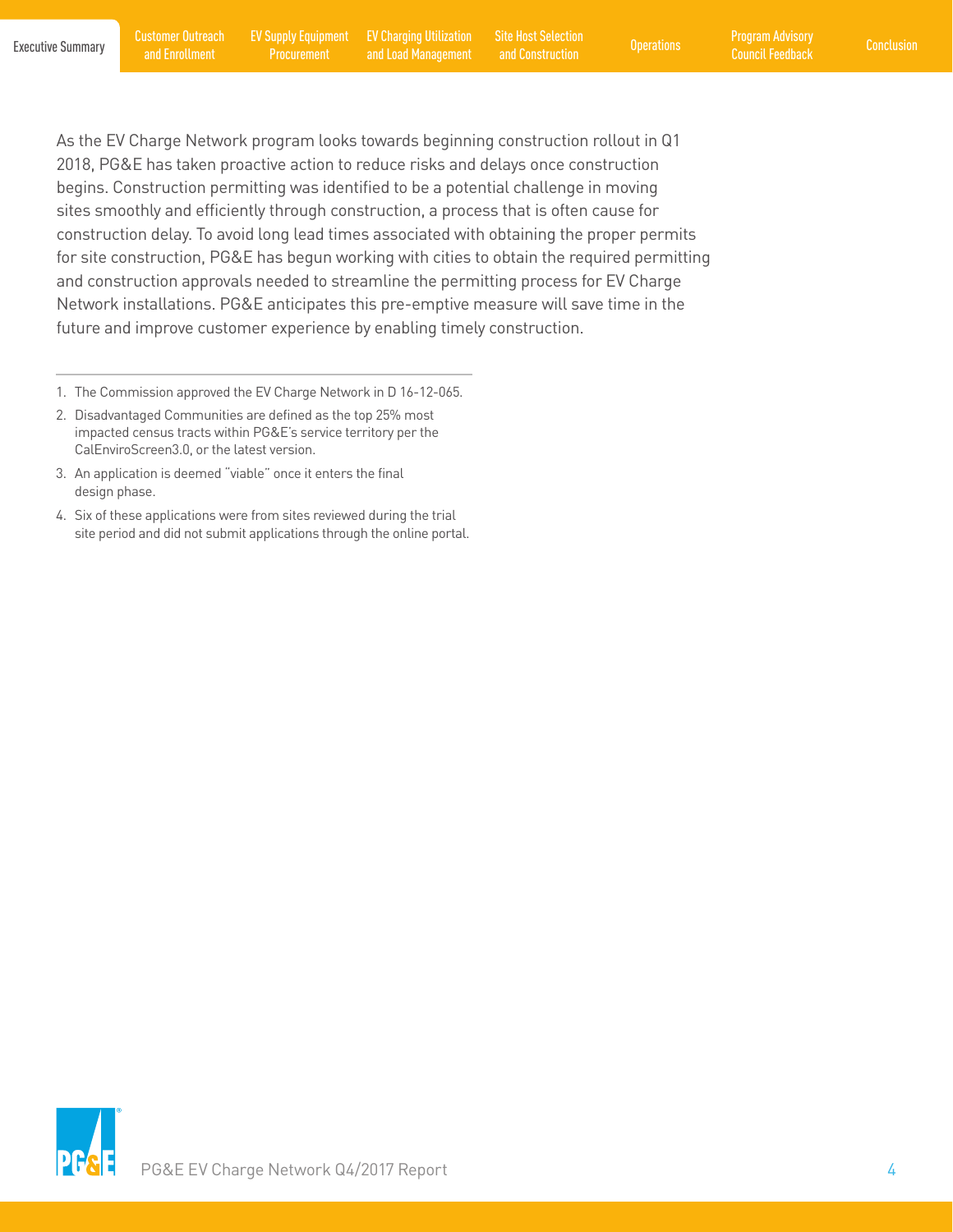EV Charging Utilization Site Host Selection<br>
and Load Management and Construction Construction and Construction

As the EV Charge Network program looks towards beginning construction rollout in Q1 2018, PG&E has taken proactive action to reduce risks and delays once construction begins. Construction permitting was identified to be a potential challenge in moving sites smoothly and efficiently through construction, a process that is often cause for construction delay. To avoid long lead times associated with obtaining the proper permits for site construction, PG&E has begun working with cities to obtain the required permitting and construction approvals needed to streamline the permitting process for EV Charge Network installations. PG&E anticipates this pre-emptive measure will save time in the future and improve customer experience by enabling timely construction.

- 1. The Commission approved the EV Charge Network in D 16-12-065.
- 2. Disadvantaged Communities are defined as the top 25% most impacted census tracts within PG&E's service territory per the CalEnviroScreen3.0, or the latest version.
- 3. An application is deemed "viable" once it enters the final design phase.
- 4. Six of these applications were from sites reviewed during the trial site period and did not submit applications through the online portal.

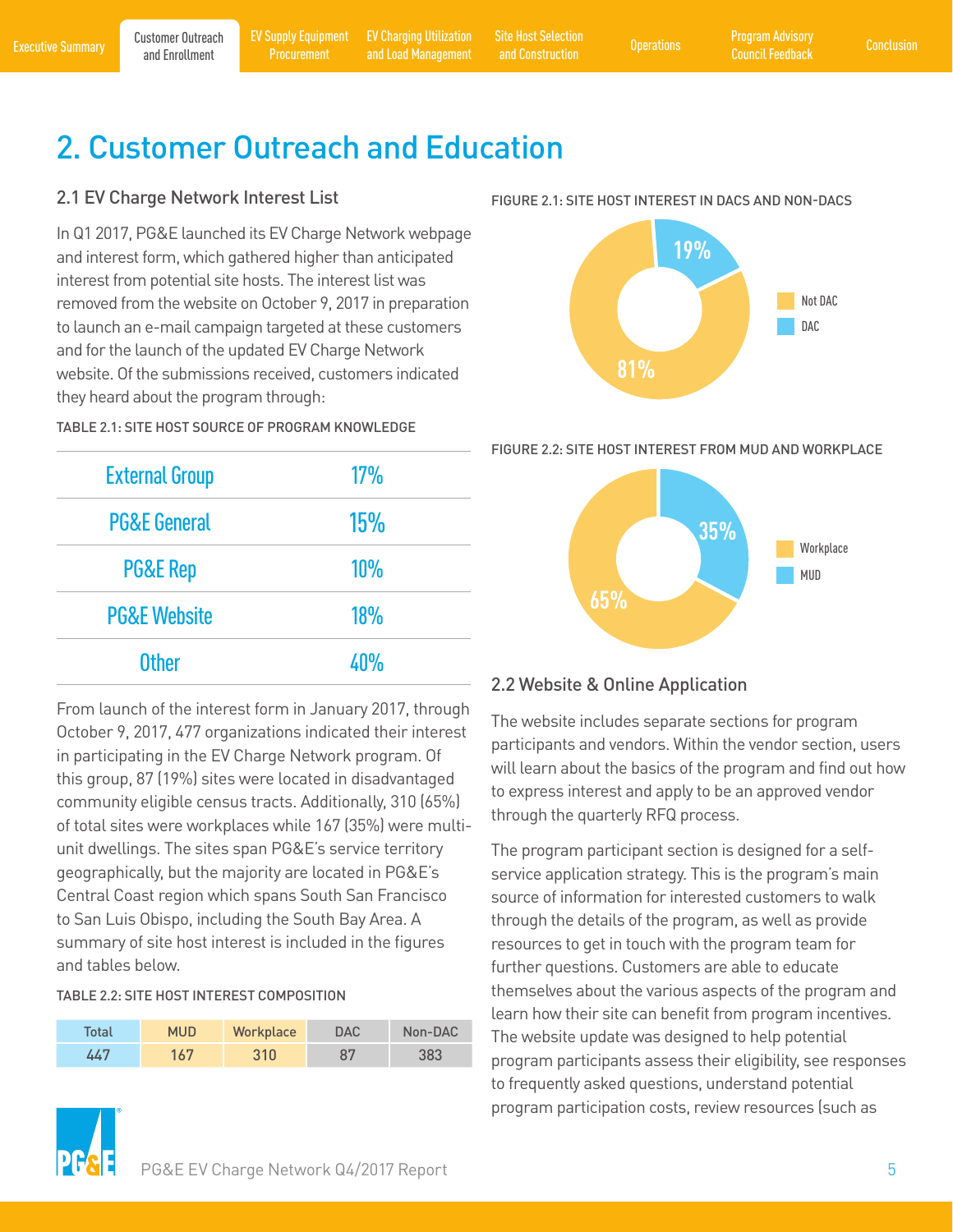<span id="page-6-0"></span>[Executive Summary](#page-2-0) Part Customer Outreach EV Supply Equipment EV Charging Utilization Site Host Selection (Progrations Program Advisory [Conclusion](#page-19-0) Executive Summary and Enrollment Procurement and Load Management and Constru [EV Charging Utilization](#page-11-0)  EV Charging Utilization Site Host Selection<br>
and Load Management and Construction Construction

and Construction

# 2. Customer Outreach and Education

#### 2.1 EV Charge Network Interest List

In Q1 2017, PG&E launched its EV Charge Network webpage and interest form, which gathered higher than anticipated interest from potential site hosts. The interest list was removed from the website on October 9, 2017 in preparation to launch an e-mail campaign targeted at these customers and for the launch of the updated EV Charge Network website. Of the submissions received, customers indicated they heard about the program through:

TABLE 2.1: SITE HOST SOURCE OF PROGRAM KNOWLEDGE

| <b>External Group</b>   | 17% |
|-------------------------|-----|
| <b>PG&amp;E General</b> | 15% |
| <b>PG&amp;E Rep</b>     | 10% |
| <b>PG&amp;E Website</b> | 18% |
| <b>Other</b>            | 4በ% |

From launch of the interest form in January 2017, through October 9, 2017, 477 organizations indicated their interest in participating in the EV Charge Network program. Of this group, 87 (19%) sites were located in disadvantaged community eligible census tracts. Additionally, 310 (65%) of total sites were workplaces while 167 (35%) were multiunit dwellings. The sites span PG&E's service territory geographically, but the majority are located in PG&E's Central Coast region which spans South San Francisco to San Luis Obispo, including the South Bay Area. A summary of site host interest is included in the figures and tables below.

#### TABLE 2.2: SITE HOST INTEREST COMPOSITION

| Total | <b>MUD</b> | Workplace | <b>DAC</b> | Non-DAC |
|-------|------------|-----------|------------|---------|
| 447   | 167        | 310       | 87         | 383     |





FIGURE 2.2: SITE HOST INTEREST FROM MUD AND WORKPLACE



#### 2.2 Website & Online Application

The website includes separate sections for program participants and vendors. Within the vendor section, users will learn about the basics of the program and find out how to express interest and apply to be an approved vendor through the quarterly RFQ process.

The program participant section is designed for a selfservice application strategy. This is the program's main source of information for interested customers to walk through the details of the program, as well as provide resources to get in touch with the program team for further questions. Customers are able to educate themselves about the various aspects of the program and learn how their site can benefit from program incentives. The website update was designed to help potential program participants assess their eligibility, see responses to frequently asked questions, understand potential program participation costs, review resources (such as

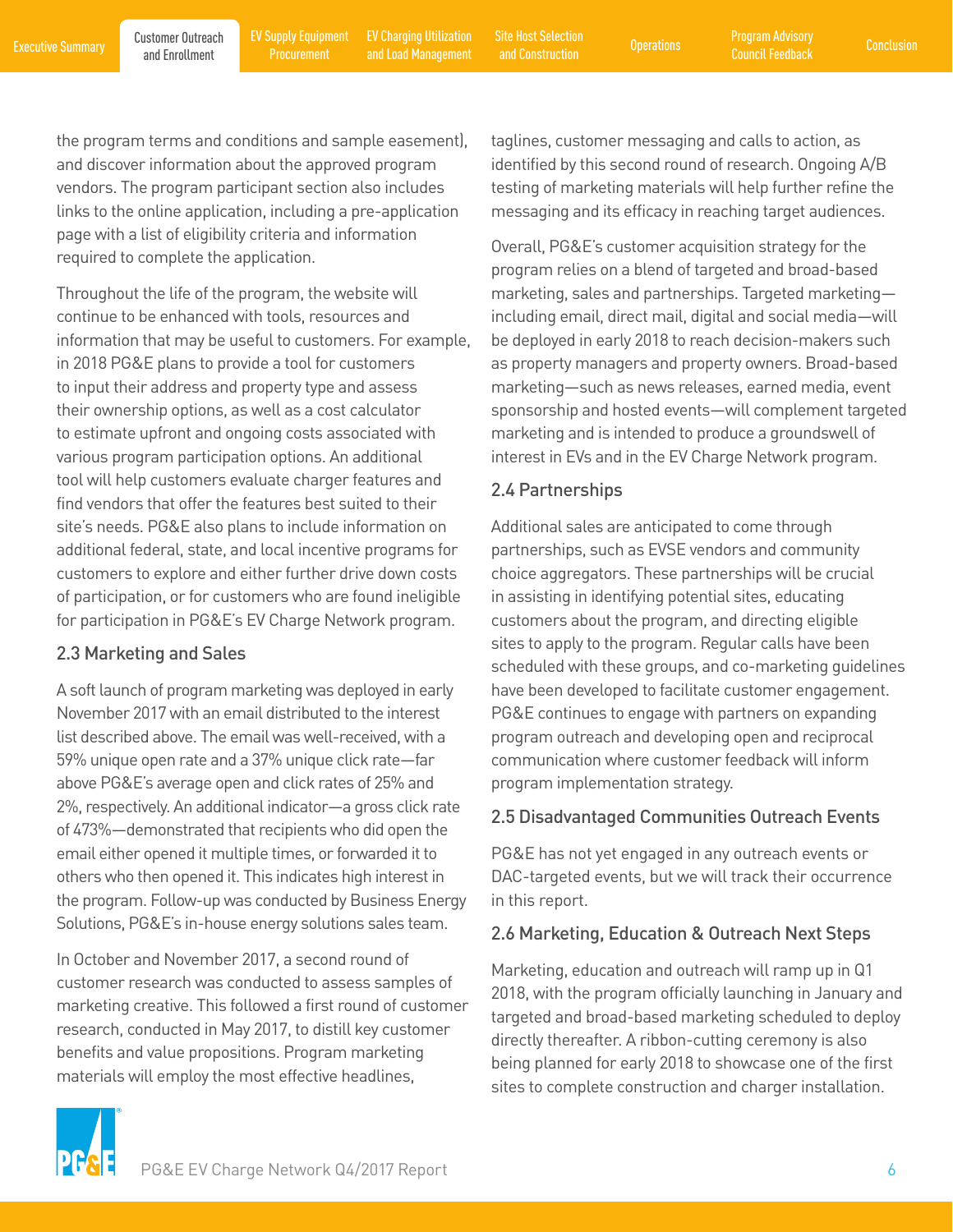and Construction

<span id="page-7-0"></span>the program terms and conditions and sample easement), and discover information about the approved program vendors. The program participant section also includes links to the online application, including a pre-application page with a list of eligibility criteria and information required to complete the application.

Throughout the life of the program, the website will continue to be enhanced with tools, resources and information that may be useful to customers. For example, in 2018 PG&E plans to provide a tool for customers to input their address and property type and assess their ownership options, as well as a cost calculator to estimate upfront and ongoing costs associated with various program participation options. An additional tool will help customers evaluate charger features and find vendors that offer the features best suited to their site's needs. PG&E also plans to include information on additional federal, state, and local incentive programs for customers to explore and either further drive down costs of participation, or for customers who are found ineligible for participation in PG&E's EV Charge Network program.

#### 2.3 Marketing and Sales

A soft launch of program marketing was deployed in early November 2017 with an email distributed to the interest list described above. The email was well-received, with a 59% unique open rate and a 37% unique click rate—far above PG&E's average open and click rates of 25% and 2%, respectively. An additional indicator—a gross click rate of 473%—demonstrated that recipients who did open the email either opened it multiple times, or forwarded it to others who then opened it. This indicates high interest in the program. Follow-up was conducted by Business Energy Solutions, PG&E's in-house energy solutions sales team.

In October and November 2017, a second round of customer research was conducted to assess samples of marketing creative. This followed a first round of customer research, conducted in May 2017, to distill key customer benefits and value propositions. Program marketing materials will employ the most effective headlines,

taglines, customer messaging and calls to action, as identified by this second round of research. Ongoing A/B testing of marketing materials will help further refine the messaging and its efficacy in reaching target audiences.

Overall, PG&E's customer acquisition strategy for the program relies on a blend of targeted and broad-based marketing, sales and partnerships. Targeted marketing including email, direct mail, digital and social media—will be deployed in early 2018 to reach decision-makers such as property managers and property owners. Broad-based marketing—such as news releases, earned media, event sponsorship and hosted events—will complement targeted marketing and is intended to produce a groundswell of interest in EVs and in the EV Charge Network program.

#### 2.4 Partnerships

Additional sales are anticipated to come through partnerships, such as EVSE vendors and community choice aggregators. These partnerships will be crucial in assisting in identifying potential sites, educating customers about the program, and directing eligible sites to apply to the program. Regular calls have been scheduled with these groups, and co-marketing guidelines have been developed to facilitate customer engagement. PG&E continues to engage with partners on expanding program outreach and developing open and reciprocal communication where customer feedback will inform program implementation strategy.

#### 2.5 Disadvantaged Communities Outreach Events

PG&E has not yet engaged in any outreach events or DAC-targeted events, but we will track their occurrence in this report.

#### 2.6 Marketing, Education & Outreach Next Steps

Marketing, education and outreach will ramp up in Q1 2018, with the program officially launching in January and targeted and broad-based marketing scheduled to deploy directly thereafter. A ribbon-cutting ceremony is also being planned for early 2018 to showcase one of the first sites to complete construction and charger installation.

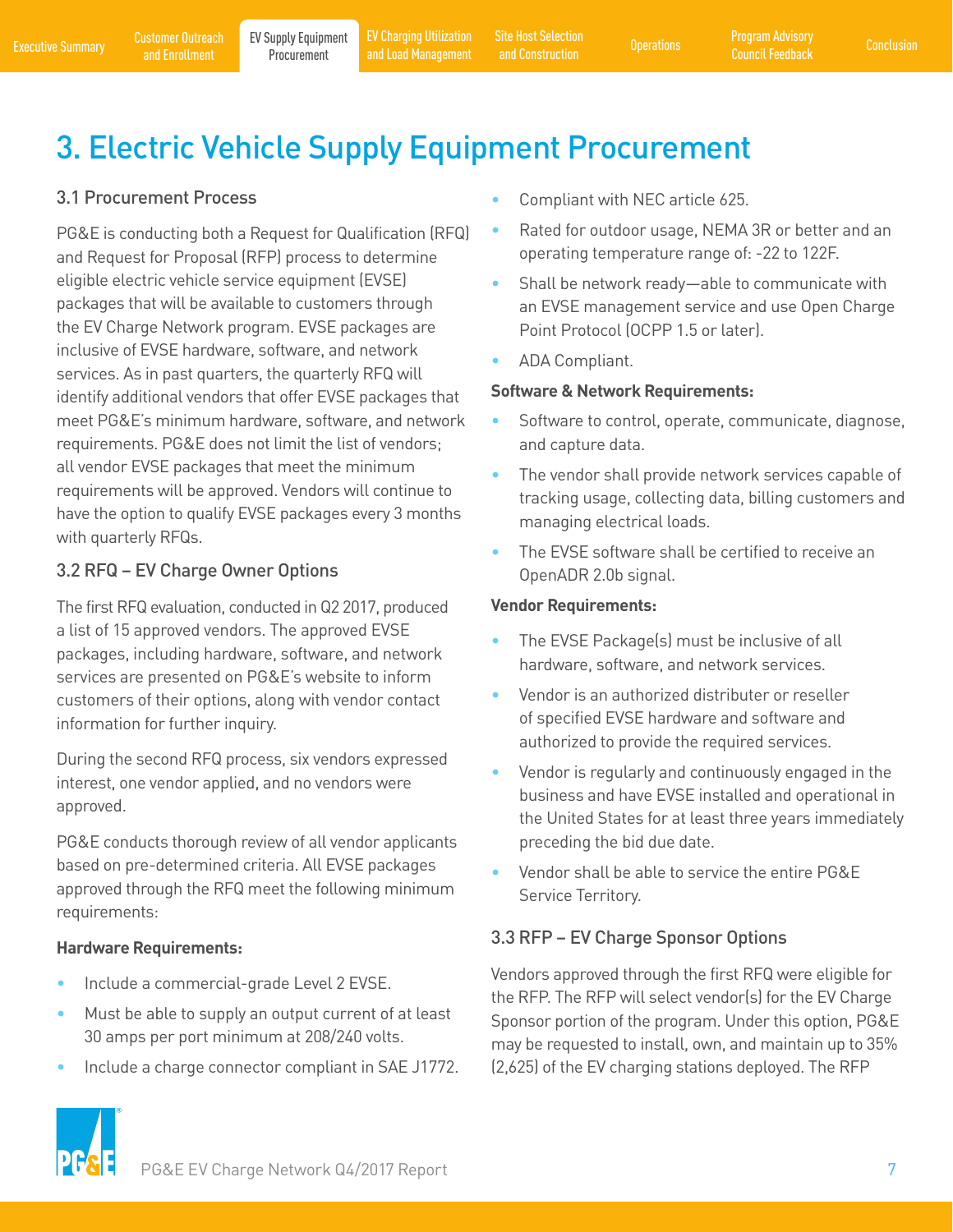[EV Charging Utilization](#page-11-0) 

<span id="page-8-0"></span>[Executive Summary](#page-2-0) Customer Outreach EV Supply Equipment EV Charging Utilization Site Host Selection Operations Program Advisory [Conclusion](#page-19-0)<br>Executive Summary and Enrollment Procurement and Load Management and Construction C EV Charging Utilization Site Host Selection<br>and Load Management and Construction Construction and Construction

# 3. Electric Vehicle Supply Equipment Procurement

### 3.1 Procurement Process

PG&E is conducting both a Request for Qualification (RFQ) and Request for Proposal (RFP) process to determine eligible electric vehicle service equipment (EVSE) packages that will be available to customers through the EV Charge Network program. EVSE packages are inclusive of EVSE hardware, software, and network services. As in past quarters, the quarterly RFQ will identify additional vendors that offer EVSE packages that meet PG&E's minimum hardware, software, and network requirements. PG&E does not limit the list of vendors; all vendor EVSE packages that meet the minimum requirements will be approved. Vendors will continue to have the option to qualify EVSE packages every 3 months with quarterly RFQs.

### 3.2 RFQ – EV Charge Owner Options

The first RFQ evaluation, conducted in Q2 2017, produced a list of 15 approved vendors. The approved EVSE packages, including hardware, software, and network services are presented on PG&E's website to inform customers of their options, along with vendor contact information for further inquiry.

During the second RFQ process, six vendors expressed interest, one vendor applied, and no vendors were approved.

PG&E conducts thorough review of all vendor applicants based on pre-determined criteria. All EVSE packages approved through the RFQ meet the following minimum requirements:

#### **Hardware Requirements:**

- Include a commercial-grade Level 2 EVSE.
- Must be able to supply an output current of at least 30 amps per port minimum at 208/240 volts.
- Include a charge connector compliant in SAE J1772.



- Rated for outdoor usage, NEMA 3R or better and an operating temperature range of: -22 to 122F.
- Shall be network ready—able to communicate with an EVSE management service and use Open Charge Point Protocol (OCPP 1.5 or later).
- ADA Compliant.

#### **Software & Network Requirements:**

- Software to control, operate, communicate, diagnose, and capture data.
- The vendor shall provide network services capable of tracking usage, collecting data, billing customers and managing electrical loads.
- The EVSE software shall be certified to receive an OpenADR 2.0b signal.

#### **Vendor Requirements:**

- The EVSE Package(s) must be inclusive of all hardware, software, and network services.
- Vendor is an authorized distributer or reseller of specified EVSE hardware and software and authorized to provide the required services.
- Vendor is regularly and continuously engaged in the business and have EVSE installed and operational in the United States for at least three years immediately preceding the bid due date.
- Vendor shall be able to service the entire PG&E Service Territory.

### 3.3 RFP – EV Charge Sponsor Options

Vendors approved through the first RFQ were eligible for the RFP. The RFP will select vendor(s) for the EV Charge Sponsor portion of the program. Under this option, PG&E may be requested to install, own, and maintain up to 35% (2,625) of the EV charging stations deployed. The RFP

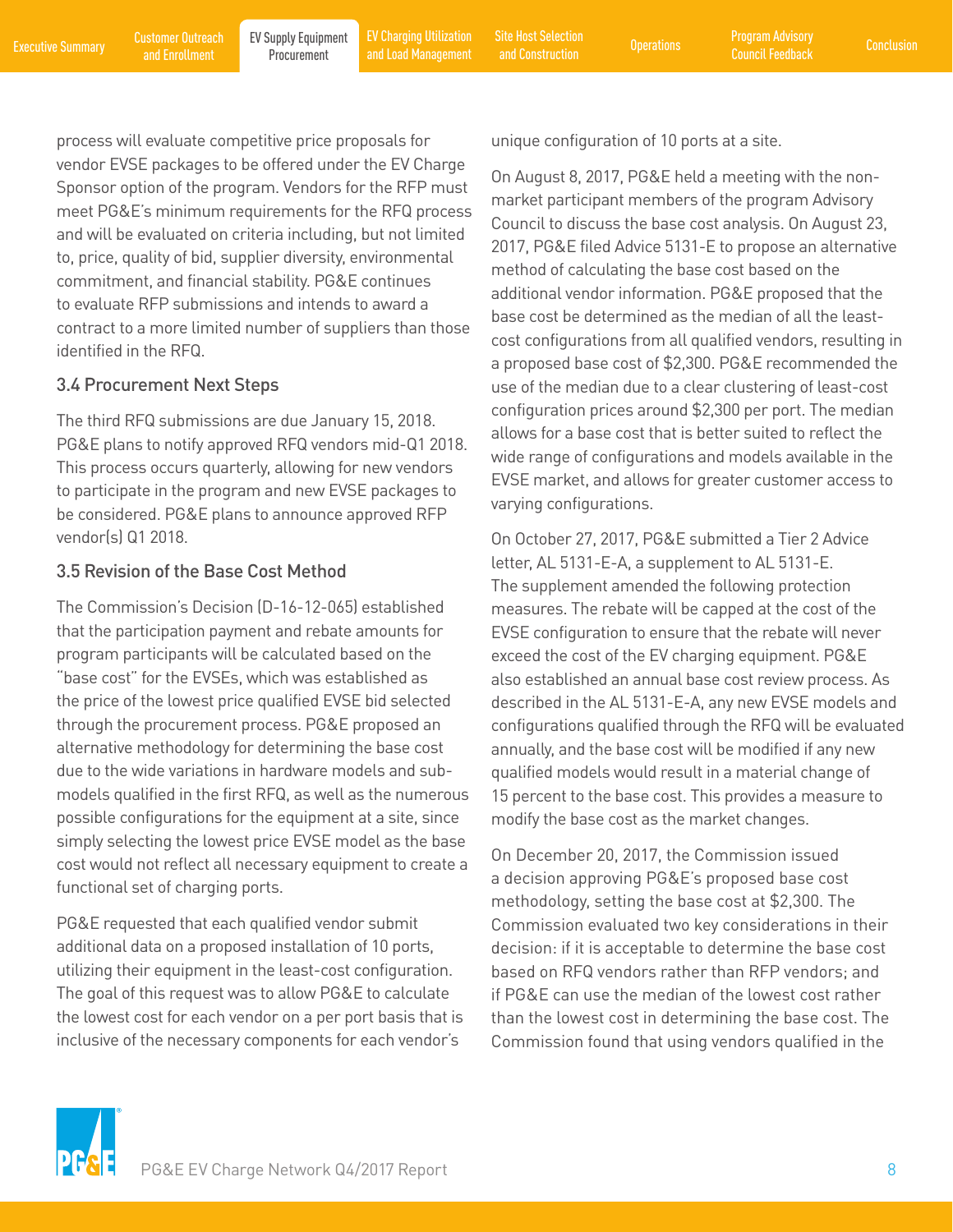and Construction

<span id="page-9-0"></span>process will evaluate competitive price proposals for vendor EVSE packages to be offered under the EV Charge Sponsor option of the program. Vendors for the RFP must meet PG&E's minimum requirements for the RFQ process and will be evaluated on criteria including, but not limited to, price, quality of bid, supplier diversity, environmental commitment, and financial stability. PG&E continues to evaluate RFP submissions and intends to award a contract to a more limited number of suppliers than those identified in the RFQ.

#### 3.4 Procurement Next Steps

The third RFQ submissions are due January 15, 2018. PG&E plans to notify approved RFQ vendors mid-Q1 2018. This process occurs quarterly, allowing for new vendors to participate in the program and new EVSE packages to be considered. PG&E plans to announce approved RFP vendor(s) Q1 2018.

#### 3.5 Revision of the Base Cost Method

The Commission's Decision (D-16-12-065) established that the participation payment and rebate amounts for program participants will be calculated based on the "base cost" for the EVSEs, which was established as the price of the lowest price qualified EVSE bid selected through the procurement process. PG&E proposed an alternative methodology for determining the base cost due to the wide variations in hardware models and submodels qualified in the first RFQ, as well as the numerous possible configurations for the equipment at a site, since simply selecting the lowest price EVSE model as the base cost would not reflect all necessary equipment to create a functional set of charging ports.

PG&E requested that each qualified vendor submit additional data on a proposed installation of 10 ports, utilizing their equipment in the least-cost configuration. The goal of this request was to allow PG&E to calculate the lowest cost for each vendor on a per port basis that is inclusive of the necessary components for each vendor's

unique configuration of 10 ports at a site.

On August 8, 2017, PG&E held a meeting with the nonmarket participant members of the program Advisory Council to discuss the base cost analysis. On August 23, 2017, PG&E filed Advice 5131-E to propose an alternative method of calculating the base cost based on the additional vendor information. PG&E proposed that the base cost be determined as the median of all the leastcost configurations from all qualified vendors, resulting in a proposed base cost of \$2,300. PG&E recommended the use of the median due to a clear clustering of least-cost configuration prices around \$2,300 per port. The median allows for a base cost that is better suited to reflect the wide range of configurations and models available in the EVSE market, and allows for greater customer access to varying configurations.

On October 27, 2017, PG&E submitted a Tier 2 Advice letter, AL 5131-E-A, a supplement to AL 5131-E. The supplement amended the following protection measures. The rebate will be capped at the cost of the EVSE configuration to ensure that the rebate will never exceed the cost of the EV charging equipment. PG&E also established an annual base cost review process. As described in the AL 5131-E-A, any new EVSE models and configurations qualified through the RFQ will be evaluated annually, and the base cost will be modified if any new qualified models would result in a material change of 15 percent to the base cost. This provides a measure to modify the base cost as the market changes.

On December 20, 2017, the Commission issued a decision approving PG&E's proposed base cost methodology, setting the base cost at \$2,300. The Commission evaluated two key considerations in their decision: if it is acceptable to determine the base cost based on RFQ vendors rather than RFP vendors; and if PG&E can use the median of the lowest cost rather than the lowest cost in determining the base cost. The Commission found that using vendors qualified in the

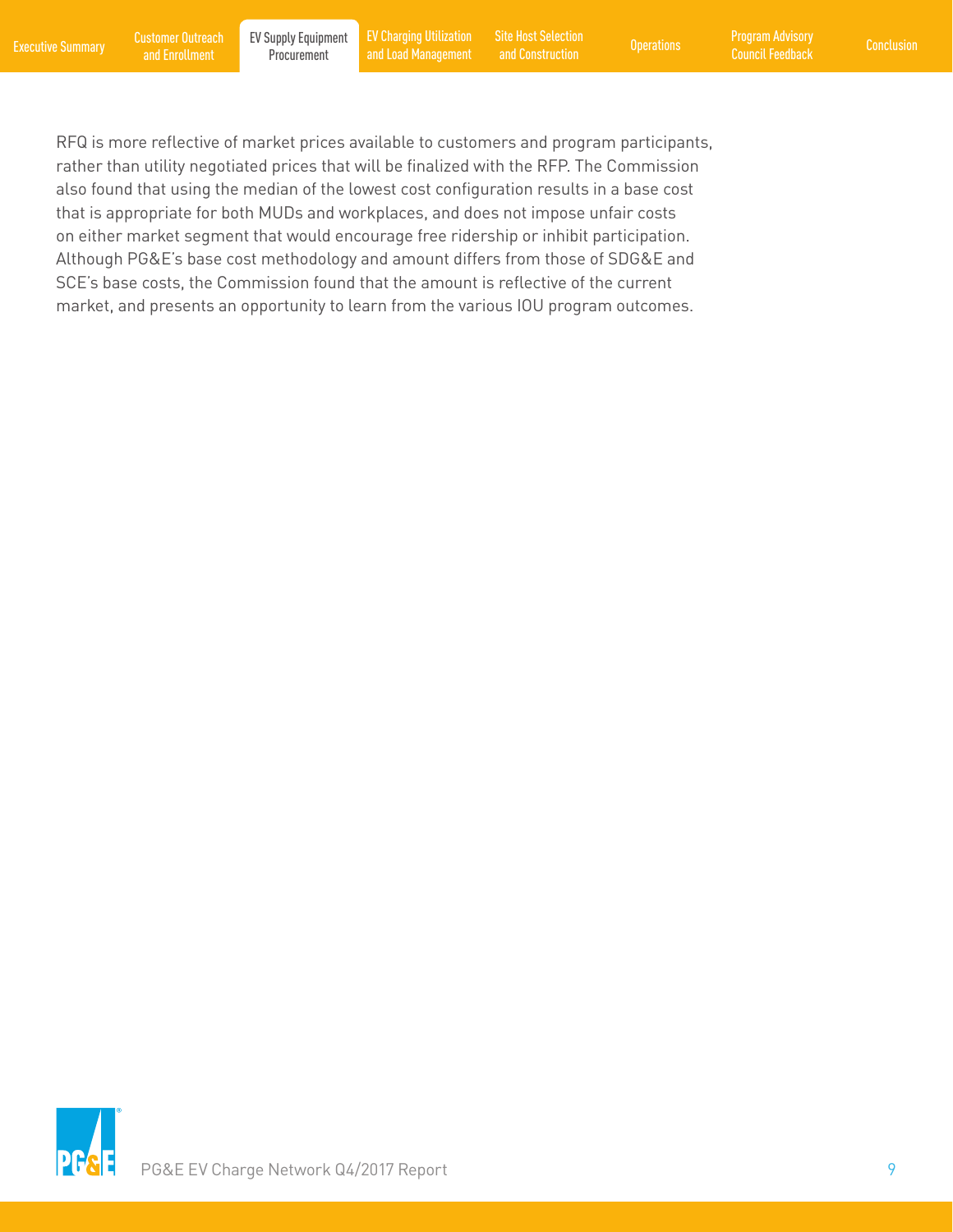[Executive Summary](#page-2-0) Customer Outreach EV Supply Equipment EV Charging Utilization Site Host Selection Operations Program Advisory [Conclusion](#page-19-0)<br>Executive Summary and Enrollment Procurement and Load Management and Construction C [EV Charging Utilization](#page-11-0) 

EV Charging Utilization Site Host Selection<br>and Load Management and Construction Construction and Construction

RFQ is more reflective of market prices available to customers and program participants, rather than utility negotiated prices that will be finalized with the RFP. The Commission also found that using the median of the lowest cost configuration results in a base cost that is appropriate for both MUDs and workplaces, and does not impose unfair costs on either market segment that would encourage free ridership or inhibit participation. Although PG&E's base cost methodology and amount differs from those of SDG&E and SCE's base costs, the Commission found that the amount is reflective of the current market, and presents an opportunity to learn from the various IOU program outcomes.

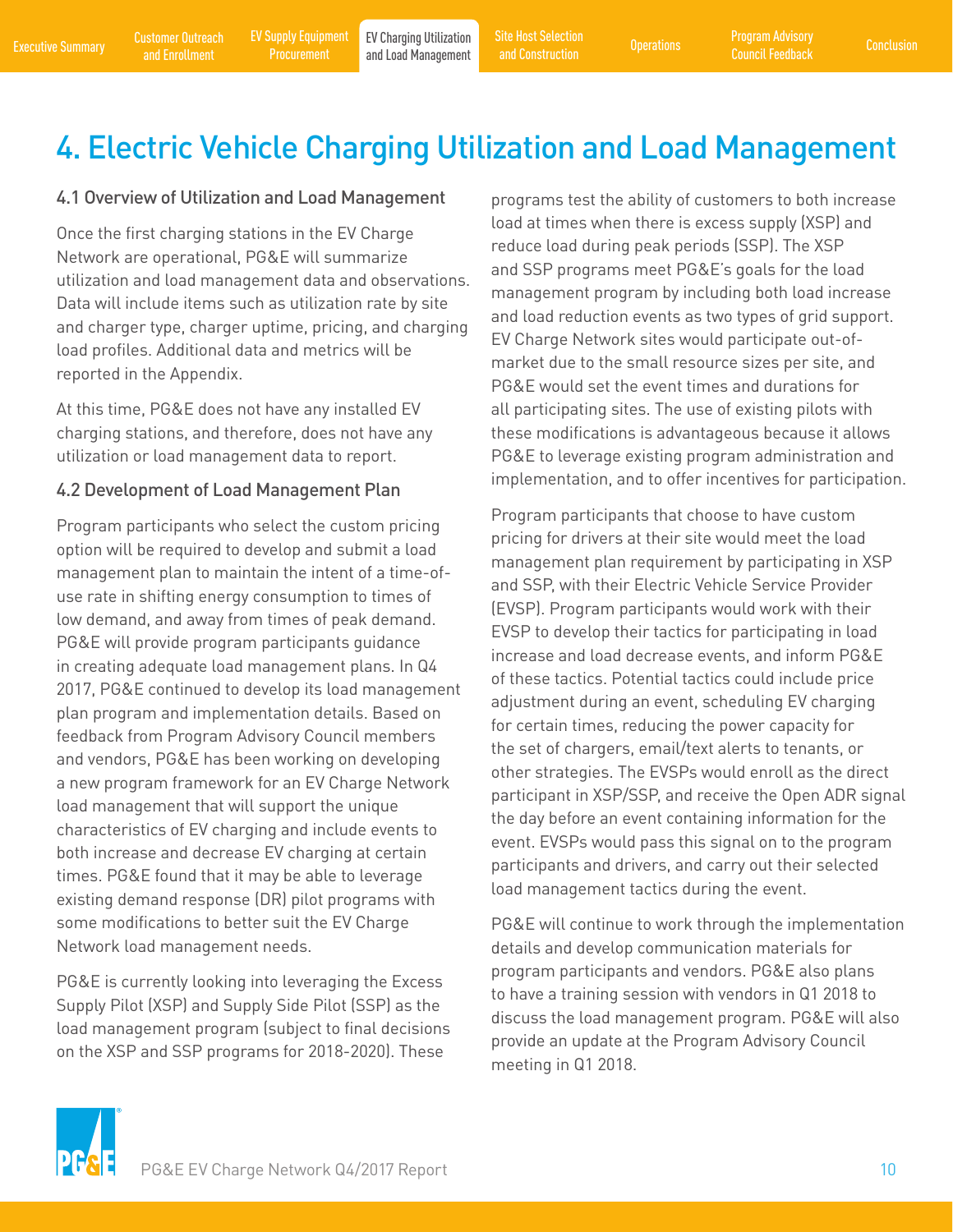# <span id="page-11-0"></span>4. Electric Vehicle Charging Utilization and Load Management

#### 4.1 Overview of Utilization and Load Management

Once the first charging stations in the EV Charge Network are operational, PG&E will summarize utilization and load management data and observations. Data will include items such as utilization rate by site and charger type, charger uptime, pricing, and charging load profiles. Additional data and metrics will be reported in the Appendix.

At this time, PG&E does not have any installed EV charging stations, and therefore, does not have any utilization or load management data to report.

#### 4.2 Development of Load Management Plan

Program participants who select the custom pricing option will be required to develop and submit a load management plan to maintain the intent of a time-ofuse rate in shifting energy consumption to times of low demand, and away from times of peak demand. PG&E will provide program participants guidance in creating adequate load management plans. In Q4 2017, PG&E continued to develop its load management plan program and implementation details. Based on feedback from Program Advisory Council members and vendors, PG&E has been working on developing a new program framework for an EV Charge Network load management that will support the unique characteristics of EV charging and include events to both increase and decrease EV charging at certain times. PG&E found that it may be able to leverage existing demand response (DR) pilot programs with some modifications to better suit the EV Charge Network load management needs.

PG&E is currently looking into leveraging the Excess Supply Pilot (XSP) and Supply Side Pilot (SSP) as the load management program (subject to final decisions on the XSP and SSP programs for 2018-2020). These

programs test the ability of customers to both increase load at times when there is excess supply (XSP) and reduce load during peak periods (SSP). The XSP and SSP programs meet PG&E's goals for the load management program by including both load increase and load reduction events as two types of grid support. EV Charge Network sites would participate out-ofmarket due to the small resource sizes per site, and PG&E would set the event times and durations for all participating sites. The use of existing pilots with these modifications is advantageous because it allows PG&E to leverage existing program administration and implementation, and to offer incentives for participation.

Program participants that choose to have custom pricing for drivers at their site would meet the load management plan requirement by participating in XSP and SSP, with their Electric Vehicle Service Provider (EVSP). Program participants would work with their EVSP to develop their tactics for participating in load increase and load decrease events, and inform PG&E of these tactics. Potential tactics could include price adjustment during an event, scheduling EV charging for certain times, reducing the power capacity for the set of chargers, email/text alerts to tenants, or other strategies. The EVSPs would enroll as the direct participant in XSP/SSP, and receive the Open ADR signal the day before an event containing information for the event. EVSPs would pass this signal on to the program participants and drivers, and carry out their selected load management tactics during the event.

PG&E will continue to work through the implementation details and develop communication materials for program participants and vendors. PG&E also plans to have a training session with vendors in Q1 2018 to discuss the load management program. PG&E will also provide an update at the Program Advisory Council meeting in Q1 2018.

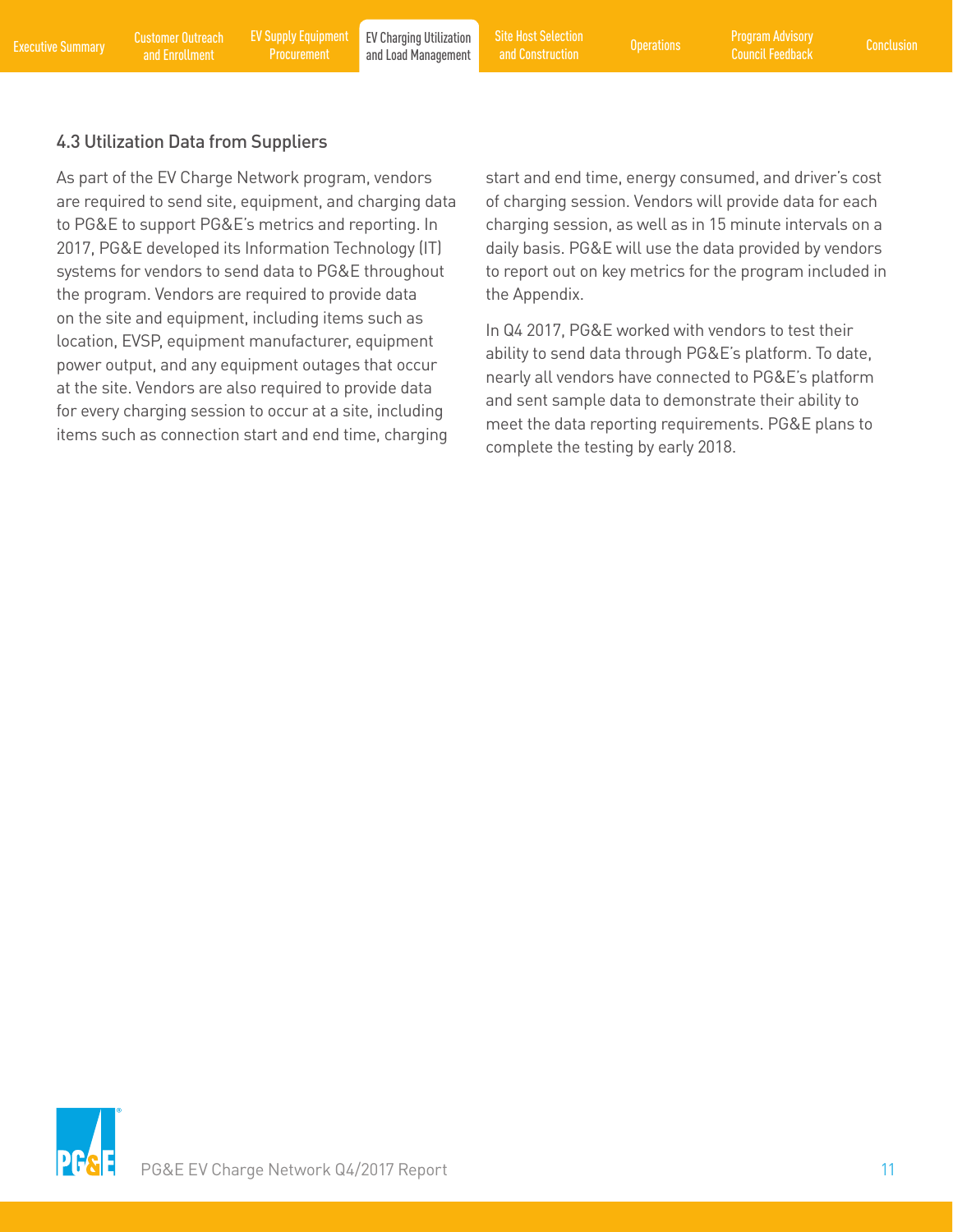#### <span id="page-12-0"></span>4.3 Utilization Data from Suppliers

As part of the EV Charge Network program, vendors are required to send site, equipment, and charging data to PG&E to support PG&E's metrics and reporting. In 2017, PG&E developed its Information Technology (IT) systems for vendors to send data to PG&E throughout the program. Vendors are required to provide data on the site and equipment, including items such as location, EVSP, equipment manufacturer, equipment power output, and any equipment outages that occur at the site. Vendors are also required to provide data for every charging session to occur at a site, including items such as connection start and end time, charging

start and end time, energy consumed, and driver's cost of charging session. Vendors will provide data for each charging session, as well as in 15 minute intervals on a daily basis. PG&E will use the data provided by vendors to report out on key metrics for the program included in the Appendix.

In Q4 2017, PG&E worked with vendors to test their ability to send data through PG&E's platform. To date, nearly all vendors have connected to PG&E's platform and sent sample data to demonstrate their ability to meet the data reporting requirements. PG&E plans to complete the testing by early 2018.

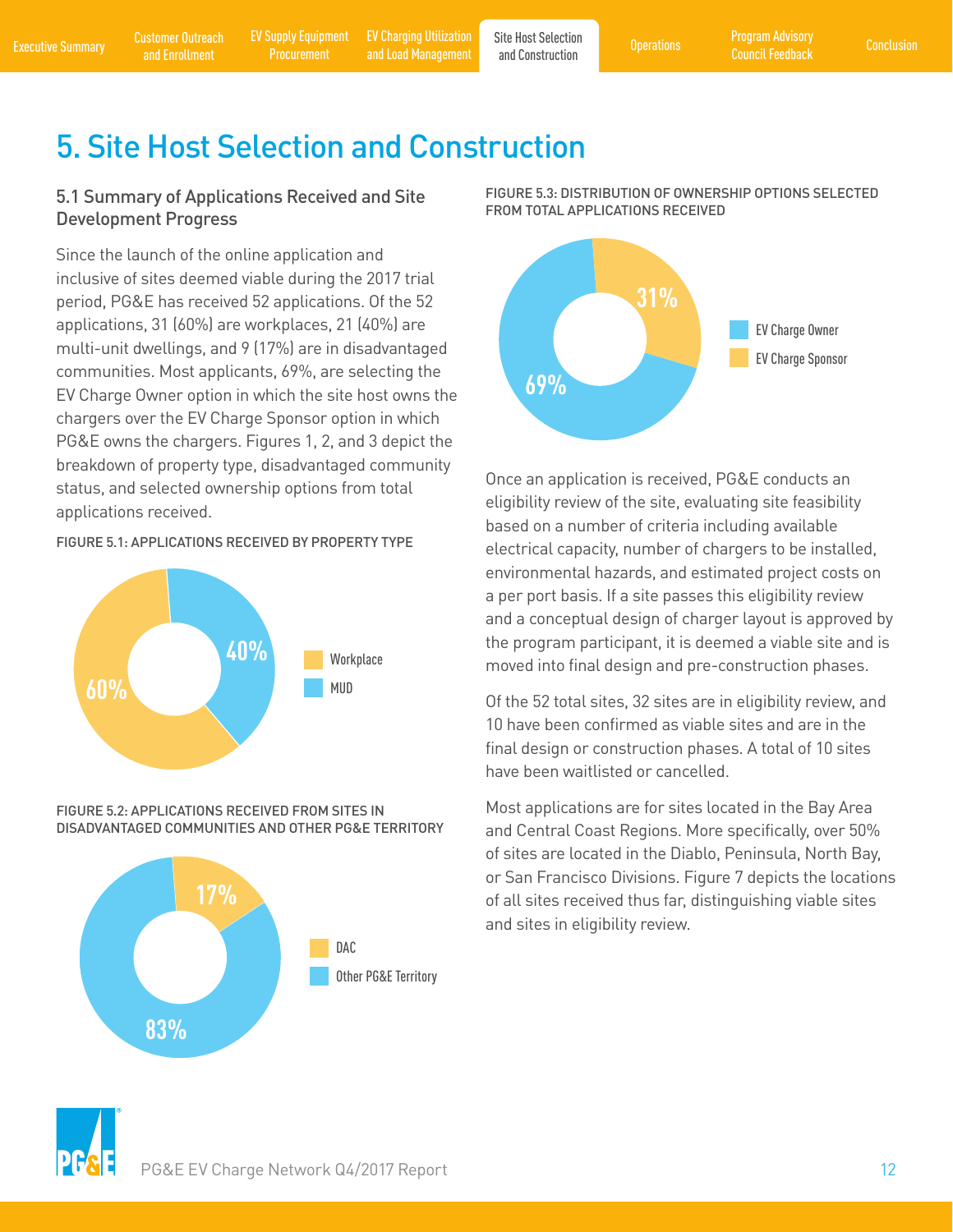[Customer Outreach](#page-6-0) 

Procurement

<span id="page-13-0"></span>[Executive Summary](#page-2-0) and Enrollment [EV Supply Equipment](#page-8-0) EV Charging Utilization Site Host Selection Proprations Program Advisory<br>Executive Summary and Enrollment Procurement and Load Management and Construction Council Feedba [EV Charging Utilization](#page-11-0)  EV Charging Utilization Site Host Selection<br>and Load Management and Construction [Operations](#page-16-0)

and Construction

### 5. Site Host Selection and Construction

#### 5.1 Summary of Applications Received and Site Development Progress

Since the launch of the online application and inclusive of sites deemed viable during the 2017 trial period, PG&E has received 52 applications. Of the 52 applications, 31 (60%) are workplaces, 21 (40%) are multi-unit dwellings, and 9 (17%) are in disadvantaged communities. Most applicants, 69%, are selecting the EV Charge Owner option in which the site host owns the chargers over the EV Charge Sponsor option in which PG&E owns the chargers. Figures 1, 2, and 3 depict the breakdown of property type, disadvantaged community status, and selected ownership options from total applications received.

#### FIGURE 5.1: APPLICATIONS RECEIVED BY PROPERTY TYPE



FIGURE 5.2: APPLICATIONS RECEIVED FROM SITES IN DISADVANTAGED COMMUNITIES AND OTHER PG&E TERRITORY







Once an application is received, PG&E conducts an eligibility review of the site, evaluating site feasibility based on a number of criteria including available electrical capacity, number of chargers to be installed, environmental hazards, and estimated project costs on a per port basis. If a site passes this eligibility review and a conceptual design of charger layout is approved by the program participant, it is deemed a viable site and is moved into final design and pre-construction phases.

Of the 52 total sites, 32 sites are in eligibility review, and 10 have been confirmed as viable sites and are in the final design or construction phases. A total of 10 sites have been waitlisted or cancelled.

Most applications are for sites located in the Bay Area and Central Coast Regions. More specifically, over 50% of sites are located in the Diablo, Peninsula, North Bay, or San Francisco Divisions. Figure 7 depicts the locations of all sites received thus far, distinguishing viable sites and sites in eligibility review.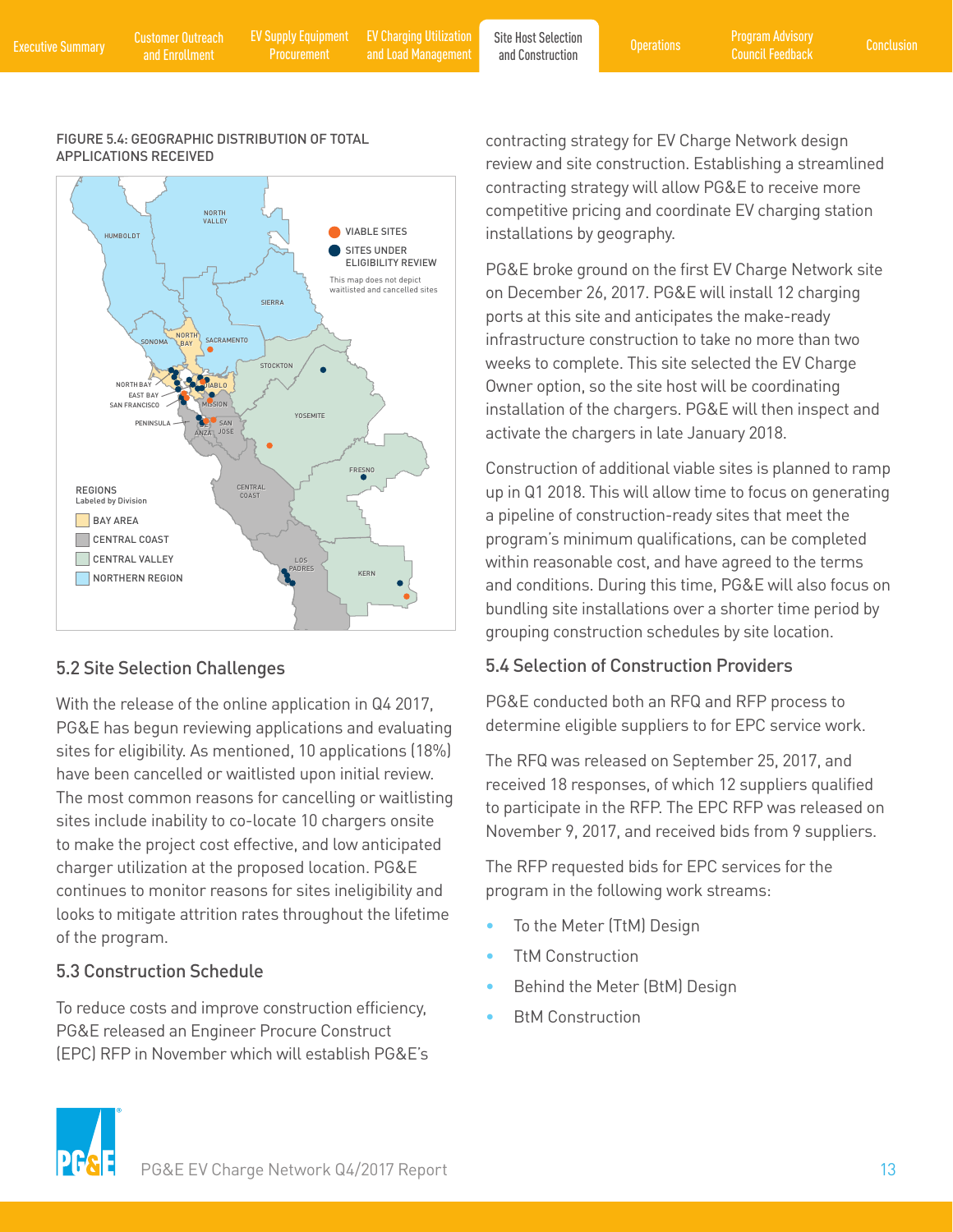[Customer Outreach](#page-6-0) 

<span id="page-14-0"></span>[Executive Summary](#page-2-0) and Enrollment [EV Supply Equipment](#page-8-0) EV Charging Utilization Site Host Selection Proprations Program Advisory<br>Executive Summary and Enrollment Procurement and Load Management and Construction Council Feedba Procurement

[EV Charging Utilization](#page-11-0)  EV Charging Utilization Site Host Selection<br>and Load Management and Construction Construction

and Construction

#### FIGURE 5.4: GEOGRAPHIC DISTRIBUTION OF TOTAL APPLICATIONS RECEIVED



#### 5.2 Site Selection Challenges

With the release of the online application in Q4 2017, PG&E has begun reviewing applications and evaluating sites for eligibility. As mentioned, 10 applications (18%) have been cancelled or waitlisted upon initial review. The most common reasons for cancelling or waitlisting sites include inability to co-locate 10 chargers onsite to make the project cost effective, and low anticipated charger utilization at the proposed location. PG&E continues to monitor reasons for sites ineligibility and looks to mitigate attrition rates throughout the lifetime of the program.

#### 5.3 Construction Schedule

To reduce costs and improve construction efficiency, PG&E released an Engineer Procure Construct (EPC) RFP in November which will establish PG&E's contracting strategy for EV Charge Network design review and site construction. Establishing a streamlined contracting strategy will allow PG&E to receive more competitive pricing and coordinate EV charging station installations by geography.

PG&E broke ground on the first EV Charge Network site on December 26, 2017. PG&E will install 12 charging ports at this site and anticipates the make-ready infrastructure construction to take no more than two weeks to complete. This site selected the EV Charge Owner option, so the site host will be coordinating installation of the chargers. PG&E will then inspect and activate the chargers in late January 2018.

Construction of additional viable sites is planned to ramp up in Q1 2018. This will allow time to focus on generating a pipeline of construction-ready sites that meet the program's minimum qualifications, can be completed within reasonable cost, and have agreed to the terms and conditions. During this time, PG&E will also focus on bundling site installations over a shorter time period by grouping construction schedules by site location.

#### 5.4 Selection of Construction Providers

PG&E conducted both an RFQ and RFP process to determine eligible suppliers to for EPC service work.

The RFQ was released on September 25, 2017, and received 18 responses, of which 12 suppliers qualified to participate in the RFP. The EPC RFP was released on November 9, 2017, and received bids from 9 suppliers.

The RFP requested bids for EPC services for the program in the following work streams:

- To the Meter (TtM) Design
- TtM Construction
- Behind the Meter (BtM) Design
- **BtM Construction**

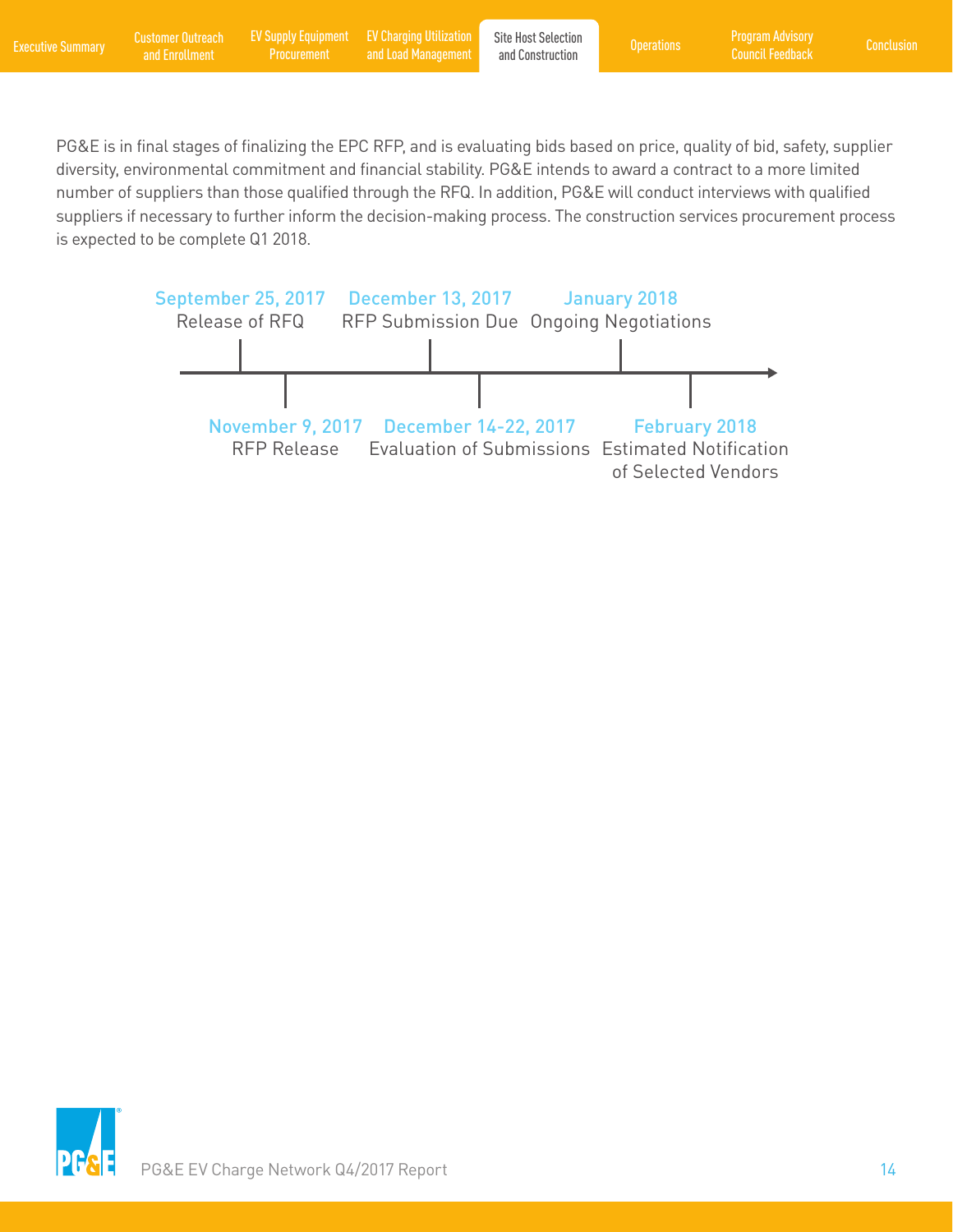PG&E is in final stages of finalizing the EPC RFP, and is evaluating bids based on price, quality of bid, safety, supplier diversity, environmental commitment and financial stability. PG&E intends to award a contract to a more limited number of suppliers than those qualified through the RFQ. In addition, PG&E will conduct interviews with qualified suppliers if necessary to further inform the decision-making process. The construction services procurement process is expected to be complete Q1 2018.



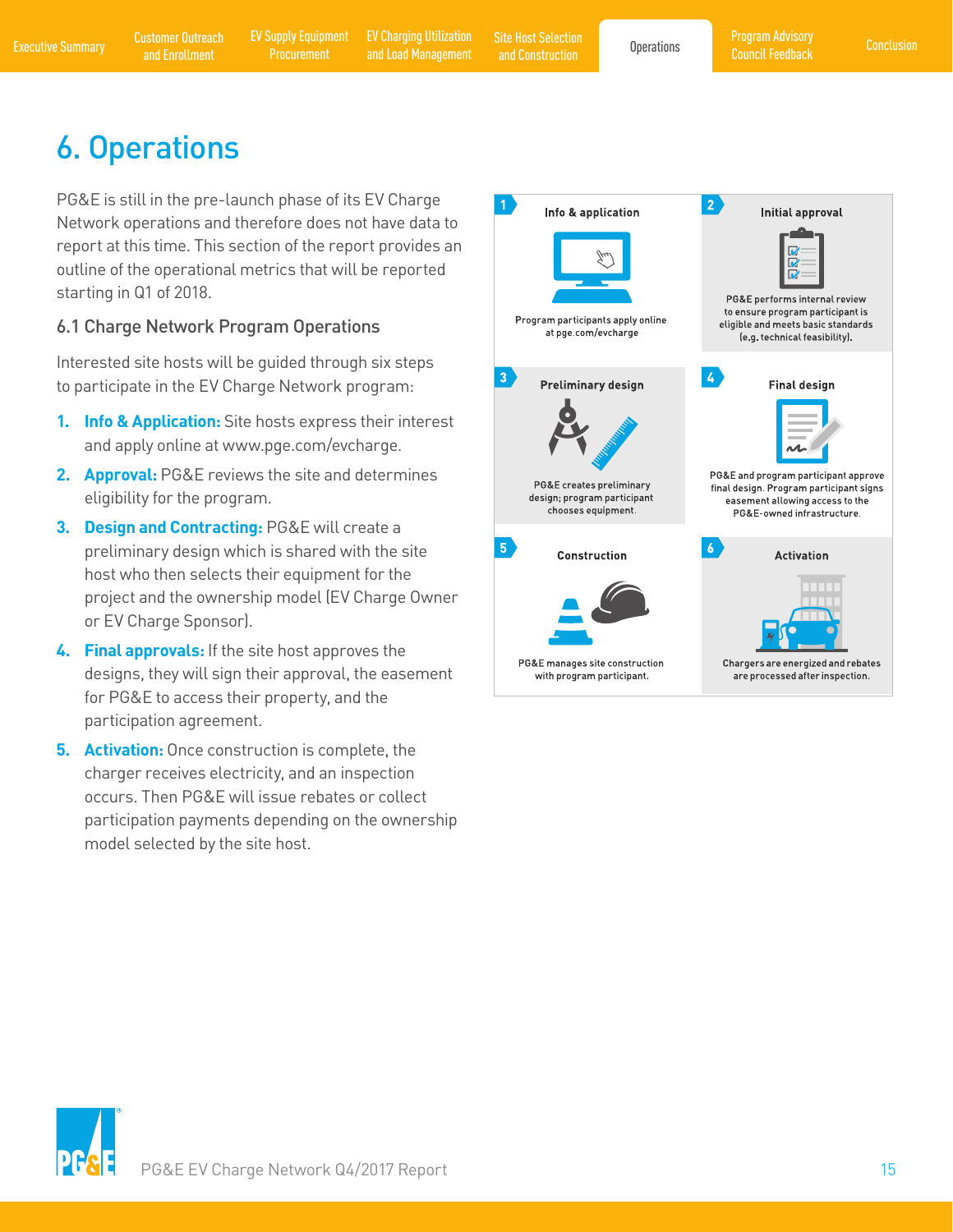and Construction

# <span id="page-16-0"></span>6. Operations

PG&E is still in the pre-launch phase of its EV Charge Network operations and therefore does not have data to report at this time. This section of the report provides an outline of the operational metrics that will be reported starting in Q1 of 2018.

#### 6.1 Charge Network Program Operations

Interested site hosts will be guided through six steps to participate in the EV Charge Network program:

- **1. Info & Application:** Site hosts express their interest and apply online at www.pge.com/evcharge.
- **2. Approval:** PG&E reviews the site and determines eligibility for the program.
- **3. Design and Contracting:** PG&E will create a preliminary design which is shared with the site host who then selects their equipment for the project and the ownership model (EV Charge Owner or EV Charge Sponsor).
- **4. Final approvals:** If the site host approves the designs, they will sign their approval, the easement for PG&E to access their property, and the participation agreement.
- **5. Activation:** Once construction is complete, the charger receives electricity, and an inspection occurs. Then PG&E will issue rebates or collect participation payments depending on the ownership model selected by the site host.



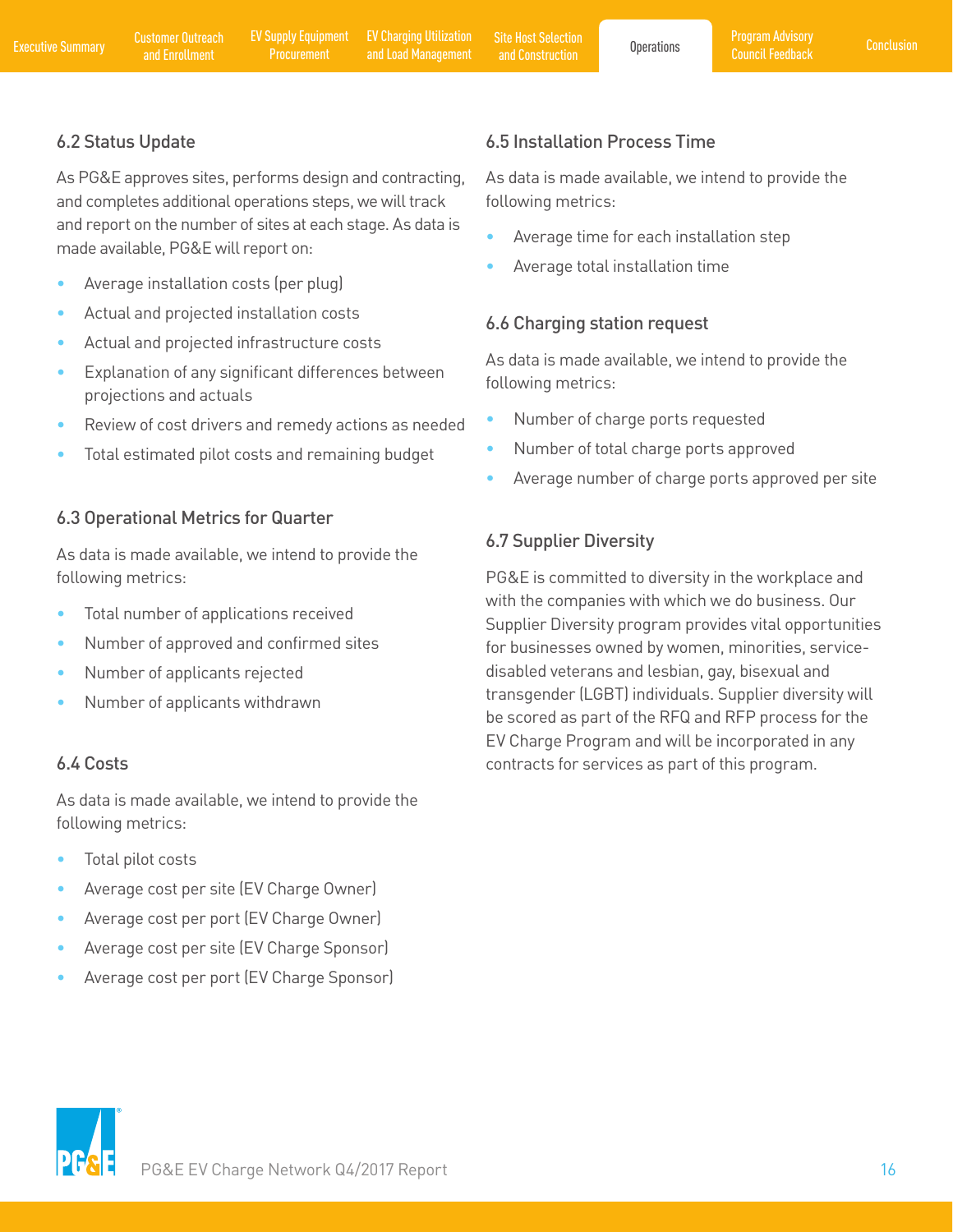#### <span id="page-17-0"></span>6.2 Status Update

As PG&E approves sites, performs design and contracting, and completes additional operations steps, we will track and report on the number of sites at each stage. As data is made available, PG&E will report on:

- Average installation costs (per plug)
- Actual and projected installation costs
- Actual and projected infrastructure costs
- Explanation of any significant differences between projections and actuals
- Review of cost drivers and remedy actions as needed
- Total estimated pilot costs and remaining budget

#### 6.3 Operational Metrics for Quarter

As data is made available, we intend to provide the following metrics:

- Total number of applications received
- Number of approved and confirmed sites
- Number of applicants rejected
- Number of applicants withdrawn

#### 6.4 Costs

As data is made available, we intend to provide the following metrics:

- Total pilot costs
- Average cost per site (EV Charge Owner)
- Average cost per port (EV Charge Owner)
- Average cost per site (EV Charge Sponsor)
- Average cost per port (EV Charge Sponsor)

#### 6.5 Installation Process Time

As data is made available, we intend to provide the following metrics:

- Average time for each installation step
- Average total installation time

#### 6.6 Charging station request

As data is made available, we intend to provide the following metrics:

- Number of charge ports requested
- Number of total charge ports approved
- Average number of charge ports approved per site

#### 6.7 Supplier Diversity

PG&E is committed to diversity in the workplace and with the companies with which we do business. Our Supplier Diversity program provides vital opportunities for businesses owned by women, minorities, servicedisabled veterans and lesbian, gay, bisexual and transgender (LGBT) individuals. Supplier diversity will be scored as part of the RFQ and RFP process for the EV Charge Program and will be incorporated in any contracts for services as part of this program.

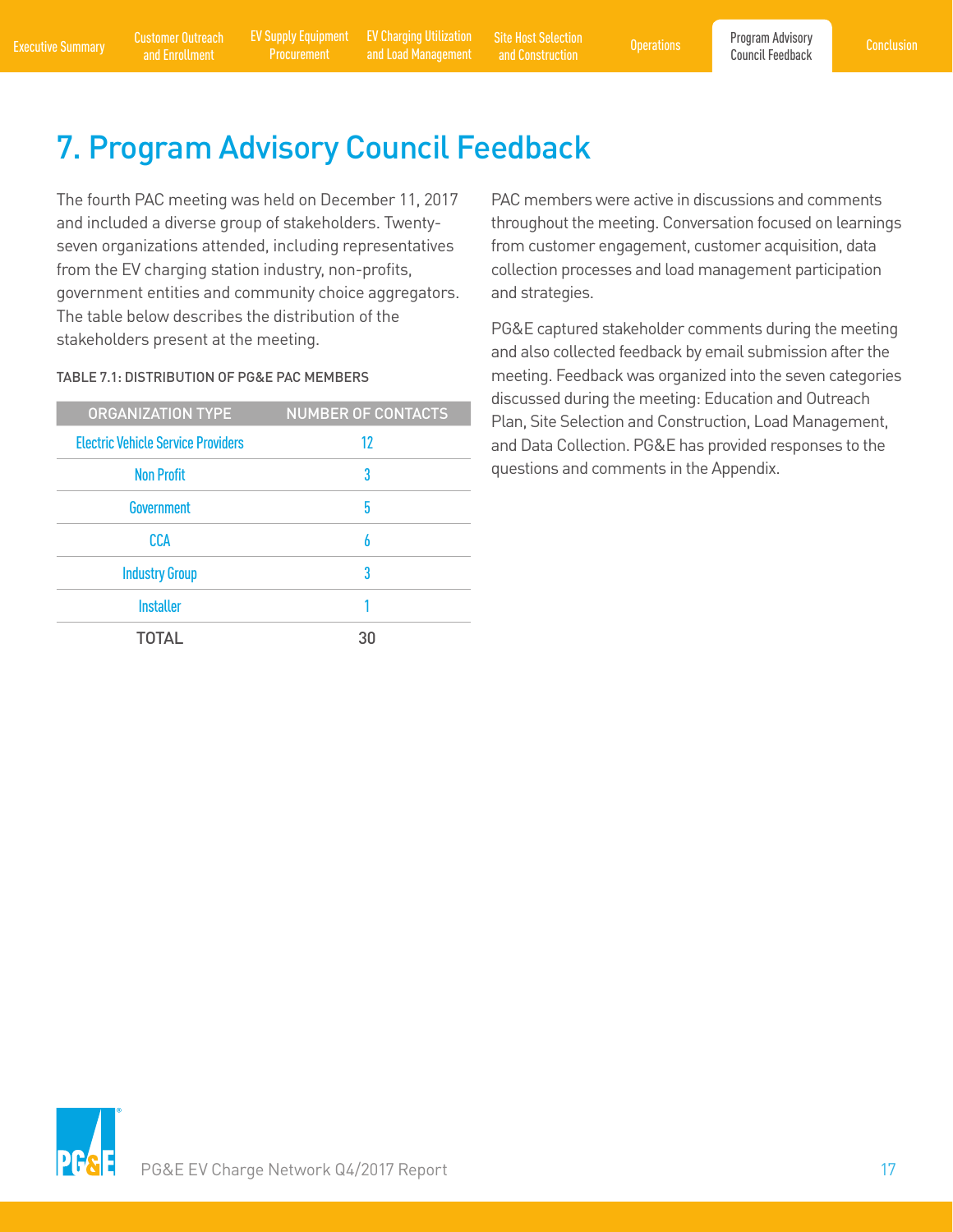[EV Charging Utilization](#page-11-0) 

<span id="page-18-0"></span>[Executive Summary](#page-2-0) Customer Outreach EV Supply Equipment EV Charging Utilization Site Host Selection Operations Program Advisory [Conclusion](#page-19-0)<br>Council Feedback and Enrollment Procurement and Load Management and Construction Co EV Charging Utilization [Site Host Selection](#page-13-0) Generations<br>
and Load Management and Construction and Construction

# 7. Program Advisory Council Feedback

The fourth PAC meeting was held on December 11, 2017 and included a diverse group of stakeholders. Twentyseven organizations attended, including representatives from the EV charging station industry, non-profits, government entities and community choice aggregators. The table below describes the distribution of the stakeholders present at the meeting.

#### TABLE 7.1: DISTRIBUTION OF PG&E PAC MEMBERS

| <b>ORGANIZATION TYPE</b>                  | <b>NUMBER OF CONTACTS</b> |
|-------------------------------------------|---------------------------|
| <b>Electric Vehicle Service Providers</b> | 12                        |
| <b>Non Profit</b>                         | 3                         |
| Government                                | 5                         |
| CCA                                       | 6                         |
| <b>Industry Group</b>                     | 3                         |
| <b>Installer</b>                          |                           |
| <b>TOTAL</b>                              | 30                        |

PAC members were active in discussions and comments throughout the meeting. Conversation focused on learnings from customer engagement, customer acquisition, data collection processes and load management participation and strategies.

PG&E captured stakeholder comments during the meeting and also collected feedback by email submission after the meeting. Feedback was organized into the seven categories discussed during the meeting: Education and Outreach Plan, Site Selection and Construction, Load Management, and Data Collection. PG&E has provided responses to the questions and comments in the Appendix.

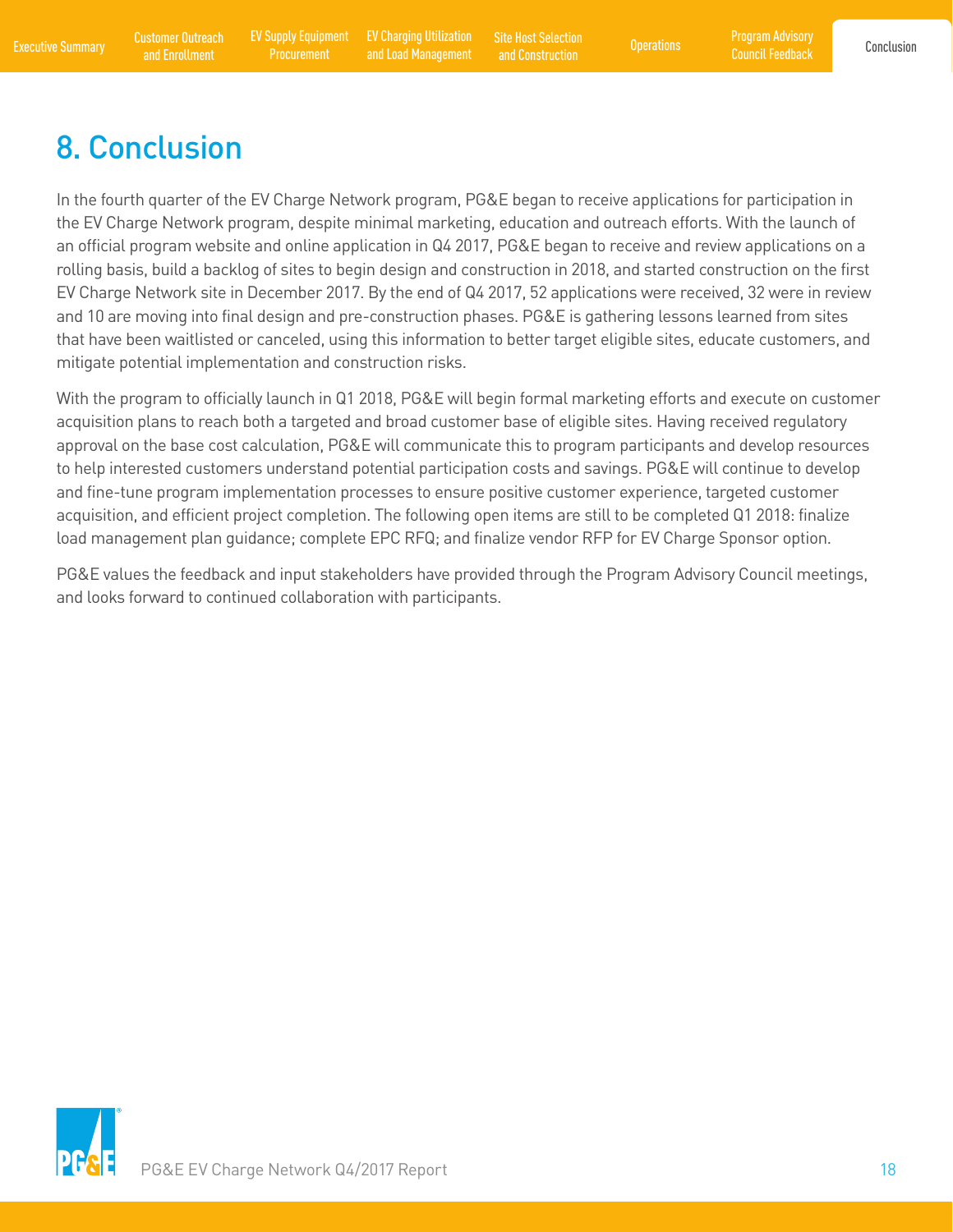[Program Advisory](#page-18-0)  Council Feedback

# <span id="page-19-0"></span>8. Conclusion

In the fourth quarter of the EV Charge Network program, PG&E began to receive applications for participation in the EV Charge Network program, despite minimal marketing, education and outreach efforts. With the launch of an official program website and online application in Q4 2017, PG&E began to receive and review applications on a rolling basis, build a backlog of sites to begin design and construction in 2018, and started construction on the first EV Charge Network site in December 2017. By the end of Q4 2017, 52 applications were received, 32 were in review and 10 are moving into final design and pre-construction phases. PG&E is gathering lessons learned from sites that have been waitlisted or canceled, using this information to better target eligible sites, educate customers, and mitigate potential implementation and construction risks.

With the program to officially launch in Q1 2018, PG&E will begin formal marketing efforts and execute on customer acquisition plans to reach both a targeted and broad customer base of eligible sites. Having received regulatory approval on the base cost calculation, PG&E will communicate this to program participants and develop resources to help interested customers understand potential participation costs and savings. PG&E will continue to develop and fine-tune program implementation processes to ensure positive customer experience, targeted customer acquisition, and efficient project completion. The following open items are still to be completed Q1 2018: finalize load management plan guidance; complete EPC RFQ; and finalize vendor RFP for EV Charge Sponsor option.

PG&E values the feedback and input stakeholders have provided through the Program Advisory Council meetings, and looks forward to continued collaboration with participants.

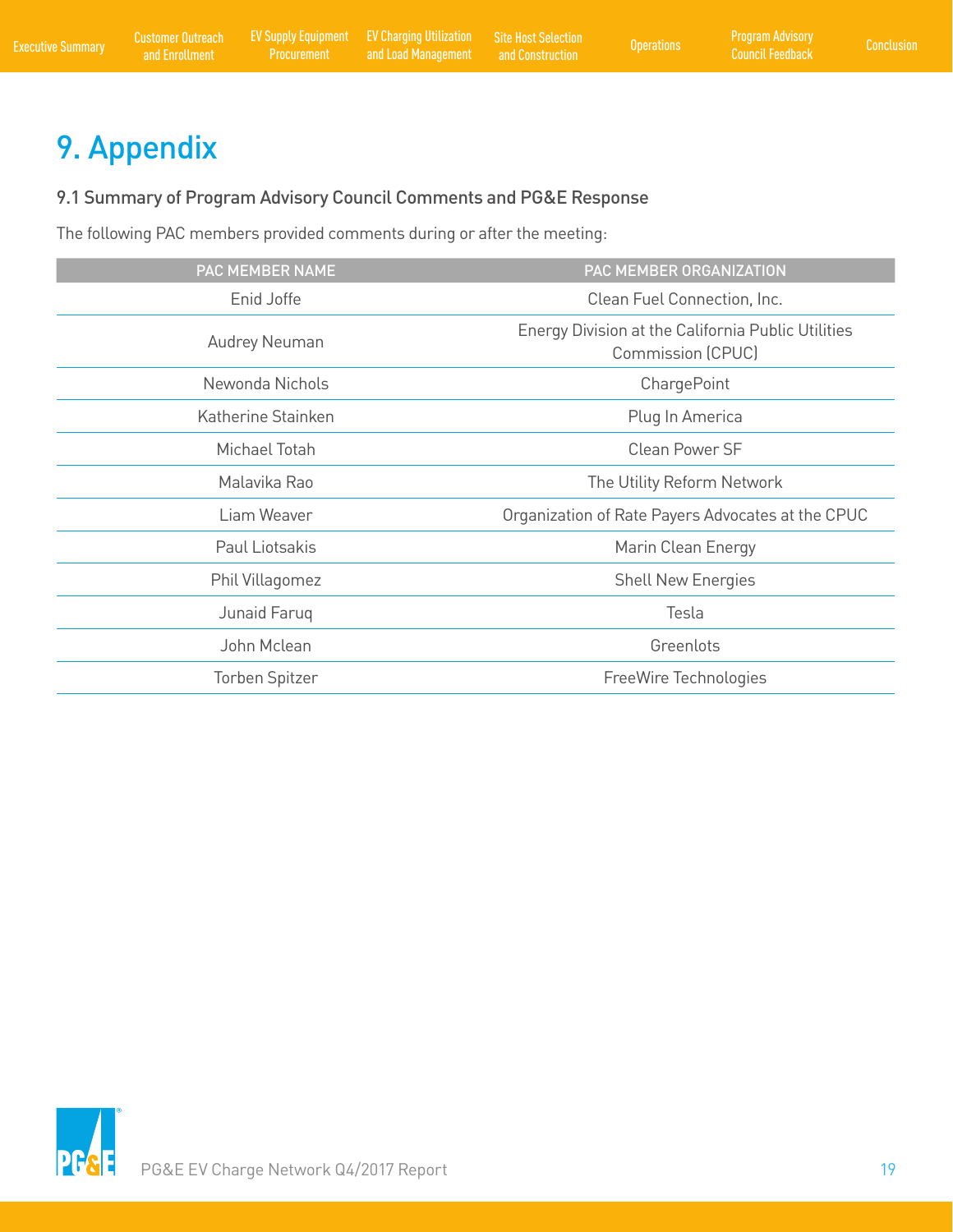# <span id="page-20-0"></span>9. Appendix

#### 9.1 Summary of Program Advisory Council Comments and PG&E Response

The following PAC members provided comments during or after the meeting:

| PAC MEMBER NAME      | PAC MEMBER ORGANIZATION                                                        |
|----------------------|--------------------------------------------------------------------------------|
| Enid Joffe           | Clean Fuel Connection, Inc.                                                    |
| <b>Audrey Neuman</b> | Energy Division at the California Public Utilities<br><b>Commission (CPUC)</b> |
| Newonda Nichols      | ChargePoint                                                                    |
| Katherine Stainken   | Plug In America                                                                |
| Michael Totah        | Clean Power SF                                                                 |
| Malavika Rao         | The Utility Reform Network                                                     |
| Liam Weaver          | Organization of Rate Payers Advocates at the CPUC                              |
| Paul Liotsakis       | Marin Clean Energy                                                             |
| Phil Villagomez      | <b>Shell New Energies</b>                                                      |
| Junaid Faruq         | Tesla                                                                          |
| John Mclean          | Greenlots                                                                      |
| Torben Spitzer       | FreeWire Technologies                                                          |

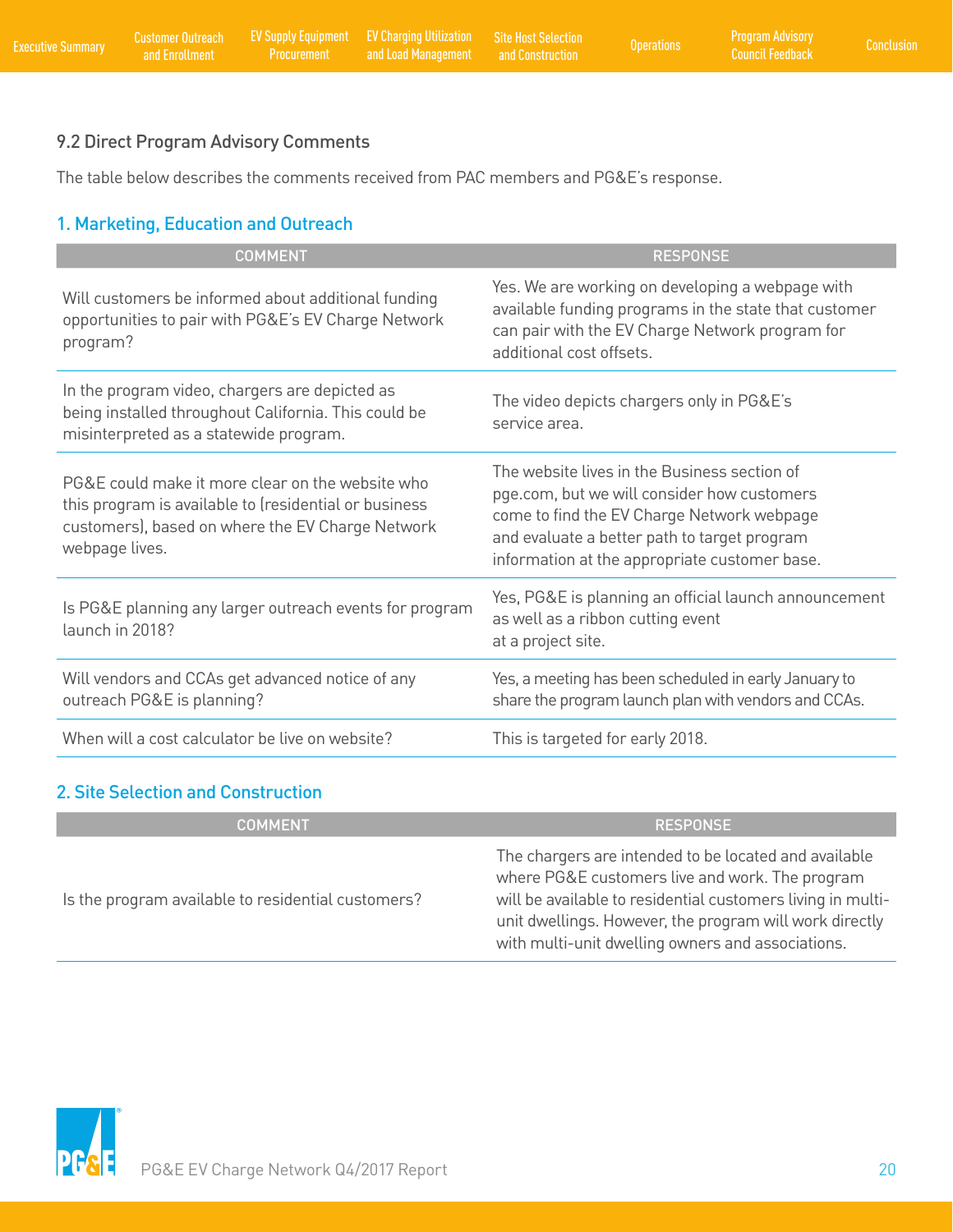### <span id="page-21-0"></span>9.2 Direct Program Advisory Comments

The table below describes the comments received from PAC members and PG&E's response.

### 1. Marketing, Education and Outreach

| <b>COMMENT</b>                                                                                                                                                                  | <b>RESPONSE</b>                                                                                                                                                                                                                            |
|---------------------------------------------------------------------------------------------------------------------------------------------------------------------------------|--------------------------------------------------------------------------------------------------------------------------------------------------------------------------------------------------------------------------------------------|
| Will customers be informed about additional funding<br>opportunities to pair with PG&E's EV Charge Network<br>program?                                                          | Yes. We are working on developing a webpage with<br>available funding programs in the state that customer<br>can pair with the EV Charge Network program for<br>additional cost offsets.                                                   |
| In the program video, chargers are depicted as<br>being installed throughout California. This could be<br>misinterpreted as a statewide program.                                | The video depicts chargers only in PG&E's<br>service area.                                                                                                                                                                                 |
| PG&E could make it more clear on the website who<br>this program is available to (residential or business<br>customers), based on where the EV Charge Network<br>webpage lives. | The website lives in the Business section of<br>pge.com, but we will consider how customers<br>come to find the EV Charge Network webpage<br>and evaluate a better path to target program<br>information at the appropriate customer base. |
| Is PG&E planning any larger outreach events for program<br>launch in 2018?                                                                                                      | Yes, PG&E is planning an official launch announcement<br>as well as a ribbon cutting event<br>at a project site.                                                                                                                           |
| Will vendors and CCAs get advanced notice of any<br>outreach PG&E is planning?                                                                                                  | Yes, a meeting has been scheduled in early January to<br>share the program launch plan with vendors and CCAs.                                                                                                                              |
| When will a cost calculator be live on website?                                                                                                                                 | This is targeted for early 2018.                                                                                                                                                                                                           |

#### 2. Site Selection and Construction

| <b>COMMENT</b>                                     | <b>RESPONSE</b>                                                                                                                                                                                                                                                                         |
|----------------------------------------------------|-----------------------------------------------------------------------------------------------------------------------------------------------------------------------------------------------------------------------------------------------------------------------------------------|
| Is the program available to residential customers? | The chargers are intended to be located and available<br>where PG&E customers live and work. The program<br>will be available to residential customers living in multi-<br>unit dwellings. However, the program will work directly<br>with multi-unit dwelling owners and associations. |

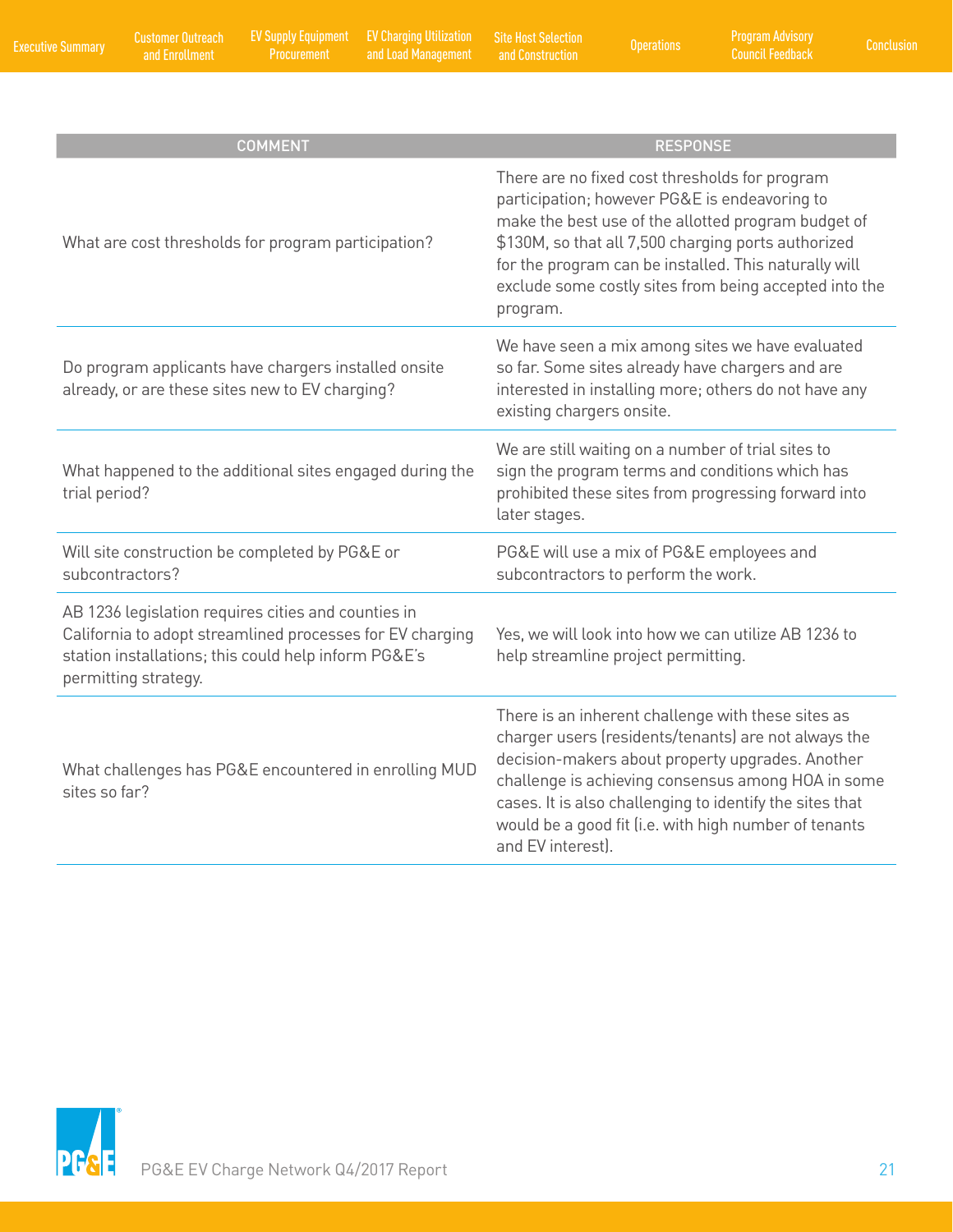| <b>COMMENT</b>                                                                                                                                                                                   | <b>RESPONSE</b>                                                                                                                                                                                                                                                                                                                                                |
|--------------------------------------------------------------------------------------------------------------------------------------------------------------------------------------------------|----------------------------------------------------------------------------------------------------------------------------------------------------------------------------------------------------------------------------------------------------------------------------------------------------------------------------------------------------------------|
| What are cost thresholds for program participation?                                                                                                                                              | There are no fixed cost thresholds for program<br>participation; however PG&E is endeavoring to<br>make the best use of the allotted program budget of<br>\$130M, so that all 7,500 charging ports authorized<br>for the program can be installed. This naturally will<br>exclude some costly sites from being accepted into the<br>program.                   |
| Do program applicants have chargers installed onsite<br>already, or are these sites new to EV charging?                                                                                          | We have seen a mix among sites we have evaluated<br>so far. Some sites already have chargers and are<br>interested in installing more; others do not have any<br>existing chargers onsite.                                                                                                                                                                     |
| What happened to the additional sites engaged during the<br>trial period?                                                                                                                        | We are still waiting on a number of trial sites to<br>sign the program terms and conditions which has<br>prohibited these sites from progressing forward into<br>later stages.                                                                                                                                                                                 |
| Will site construction be completed by PG&E or<br>subcontractors?                                                                                                                                | PG&E will use a mix of PG&E employees and<br>subcontractors to perform the work.                                                                                                                                                                                                                                                                               |
| AB 1236 legislation requires cities and counties in<br>California to adopt streamlined processes for EV charging<br>station installations; this could help inform PG&E's<br>permitting strategy. | Yes, we will look into how we can utilize AB 1236 to<br>help streamline project permitting.                                                                                                                                                                                                                                                                    |
| What challenges has PG&E encountered in enrolling MUD<br>sites so far?                                                                                                                           | There is an inherent challenge with these sites as<br>charger users (residents/tenants) are not always the<br>decision-makers about property upgrades. Another<br>challenge is achieving consensus among HOA in some<br>cases. It is also challenging to identify the sites that<br>would be a good fit (i.e. with high number of tenants<br>and EV interest). |

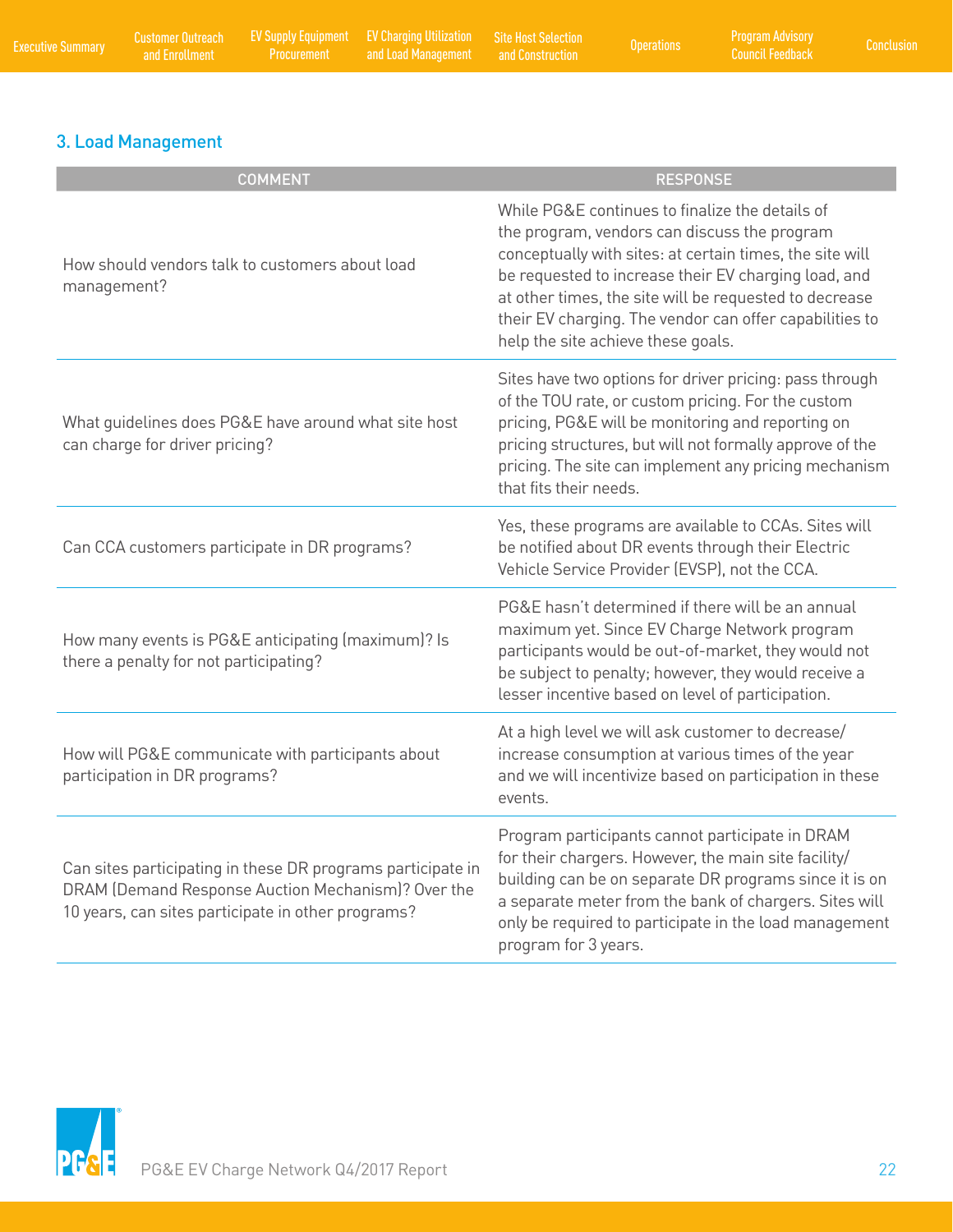### 3. Load Management

| <b>COMMENT</b>                                                                                                                                                          | <b>RESPONSE</b>                                                                                                                                                                                                                                                                                                                                                                |
|-------------------------------------------------------------------------------------------------------------------------------------------------------------------------|--------------------------------------------------------------------------------------------------------------------------------------------------------------------------------------------------------------------------------------------------------------------------------------------------------------------------------------------------------------------------------|
| How should vendors talk to customers about load<br>management?                                                                                                          | While PG&E continues to finalize the details of<br>the program, vendors can discuss the program<br>conceptually with sites: at certain times, the site will<br>be requested to increase their EV charging load, and<br>at other times, the site will be requested to decrease<br>their EV charging. The vendor can offer capabilities to<br>help the site achieve these goals. |
| What quidelines does PG&E have around what site host<br>can charge for driver pricing?                                                                                  | Sites have two options for driver pricing: pass through<br>of the TOU rate, or custom pricing. For the custom<br>pricing, PG&E will be monitoring and reporting on<br>pricing structures, but will not formally approve of the<br>pricing. The site can implement any pricing mechanism<br>that fits their needs.                                                              |
| Can CCA customers participate in DR programs?                                                                                                                           | Yes, these programs are available to CCAs. Sites will<br>be notified about DR events through their Electric<br>Vehicle Service Provider (EVSP), not the CCA.                                                                                                                                                                                                                   |
| How many events is PG&E anticipating (maximum)? Is<br>there a penalty for not participating?                                                                            | PG&E hasn't determined if there will be an annual<br>maximum yet. Since EV Charge Network program<br>participants would be out-of-market, they would not<br>be subject to penalty; however, they would receive a<br>lesser incentive based on level of participation.                                                                                                          |
| How will PG&E communicate with participants about<br>participation in DR programs?                                                                                      | At a high level we will ask customer to decrease/<br>increase consumption at various times of the year<br>and we will incentivize based on participation in these<br>events.                                                                                                                                                                                                   |
| Can sites participating in these DR programs participate in<br>DRAM (Demand Response Auction Mechanism)? Over the<br>10 years, can sites participate in other programs? | Program participants cannot participate in DRAM<br>for their chargers. However, the main site facility/<br>building can be on separate DR programs since it is on<br>a separate meter from the bank of chargers. Sites will<br>only be required to participate in the load management<br>program for 3 years.                                                                  |

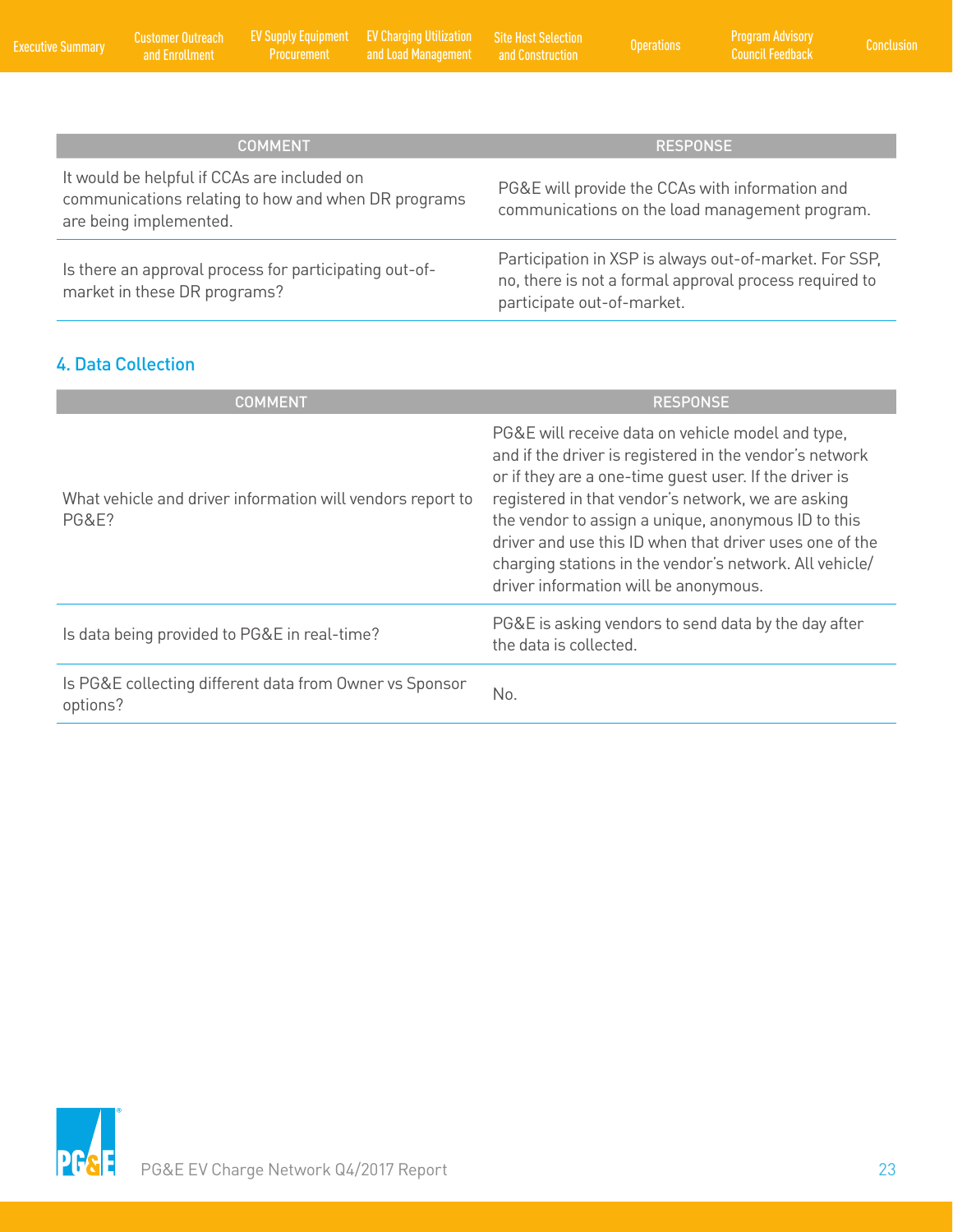<span id="page-24-0"></span>

| <b>COMMENT</b>                                                                                                               | <b>RESPONSE</b>                                                                                                                                |
|------------------------------------------------------------------------------------------------------------------------------|------------------------------------------------------------------------------------------------------------------------------------------------|
| It would be helpful if CCAs are included on<br>communications relating to how and when DR programs<br>are being implemented. | PG&E will provide the CCAs with information and<br>communications on the load management program.                                              |
| Is there an approval process for participating out-of-<br>market in these DR programs?                                       | Participation in XSP is always out-of-market. For SSP,<br>no, there is not a formal approval process required to<br>participate out-of-market. |

### 4. Data Collection

| <b>COMMENT</b>                                                                 | <b>RESPONSE</b>                                                                                                                                                                                                                                                                                                                                                                                                                                    |
|--------------------------------------------------------------------------------|----------------------------------------------------------------------------------------------------------------------------------------------------------------------------------------------------------------------------------------------------------------------------------------------------------------------------------------------------------------------------------------------------------------------------------------------------|
| What vehicle and driver information will vendors report to<br><b>PG&amp;E?</b> | PG&E will receive data on vehicle model and type,<br>and if the driver is registered in the vendor's network<br>or if they are a one-time guest user. If the driver is<br>registered in that vendor's network, we are asking<br>the vendor to assign a unique, anonymous ID to this<br>driver and use this ID when that driver uses one of the<br>charging stations in the vendor's network. All vehicle/<br>driver information will be anonymous. |
| Is data being provided to PG&E in real-time?                                   | PG&E is asking vendors to send data by the day after<br>the data is collected.                                                                                                                                                                                                                                                                                                                                                                     |
| Is PG&E collecting different data from Owner vs Sponsor<br>options?            | No.                                                                                                                                                                                                                                                                                                                                                                                                                                                |